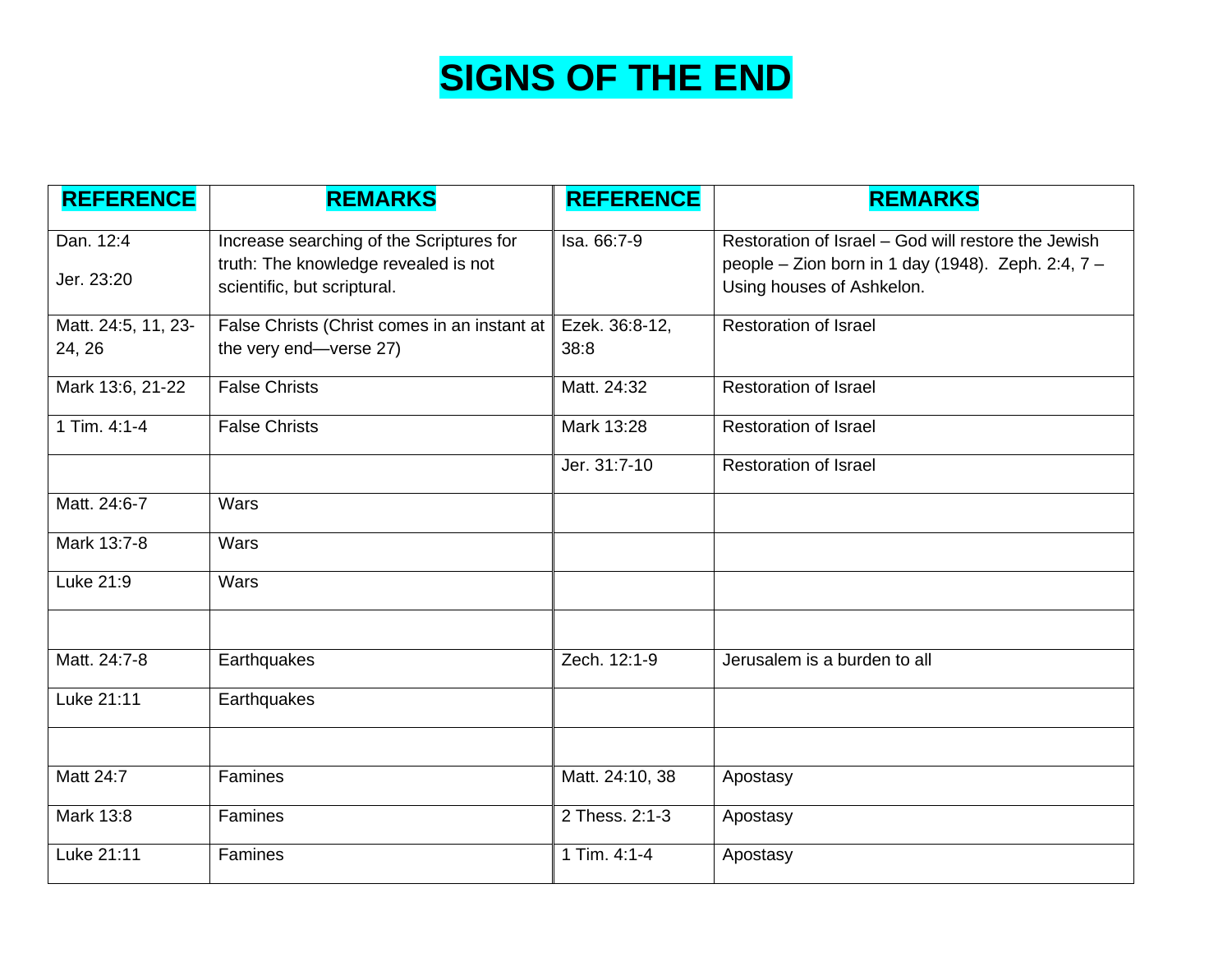# **SIGNS OF THE END**

| <b>REFERENCE</b>    | <b>REMARKS</b>                                                                   | <b>REFERENCE</b> | <b>REMARKS</b>                                                                                            |
|---------------------|----------------------------------------------------------------------------------|------------------|-----------------------------------------------------------------------------------------------------------|
| Dan. 12:4           | Increase searching of the Scriptures for<br>truth: The knowledge revealed is not | Isa. 66:7-9      | Restoration of Israel - God will restore the Jewish<br>people - Zion born in 1 day (1948). Zeph. 2:4, 7 - |
| Jer. 23:20          | scientific, but scriptural.                                                      |                  | Using houses of Ashkelon.                                                                                 |
| Matt. 24:5, 11, 23- | False Christs (Christ comes in an instant at                                     | Ezek. 36:8-12,   | <b>Restoration of Israel</b>                                                                              |
| 24, 26              | the very end-verse 27)                                                           | 38:8             |                                                                                                           |
| Mark 13:6, 21-22    | <b>False Christs</b>                                                             | Matt. 24:32      | <b>Restoration of Israel</b>                                                                              |
| 1 Tim. 4:1-4        | <b>False Christs</b>                                                             | Mark 13:28       | <b>Restoration of Israel</b>                                                                              |
|                     |                                                                                  | Jer. 31:7-10     | <b>Restoration of Israel</b>                                                                              |
| Matt. 24:6-7        | <b>Wars</b>                                                                      |                  |                                                                                                           |
| Mark 13:7-8         | Wars                                                                             |                  |                                                                                                           |
| Luke 21:9           | <b>Wars</b>                                                                      |                  |                                                                                                           |
|                     |                                                                                  |                  |                                                                                                           |
| Matt. 24:7-8        | Earthquakes                                                                      | Zech. 12:1-9     | Jerusalem is a burden to all                                                                              |
| Luke 21:11          | Earthquakes                                                                      |                  |                                                                                                           |
|                     |                                                                                  |                  |                                                                                                           |
| Matt 24:7           | Famines                                                                          | Matt. 24:10, 38  | Apostasy                                                                                                  |
| Mark 13:8           | <b>Famines</b>                                                                   | 2 Thess. 2:1-3   | Apostasy                                                                                                  |
| Luke 21:11          | Famines                                                                          | $1$ Tim. 4:1-4   | Apostasy                                                                                                  |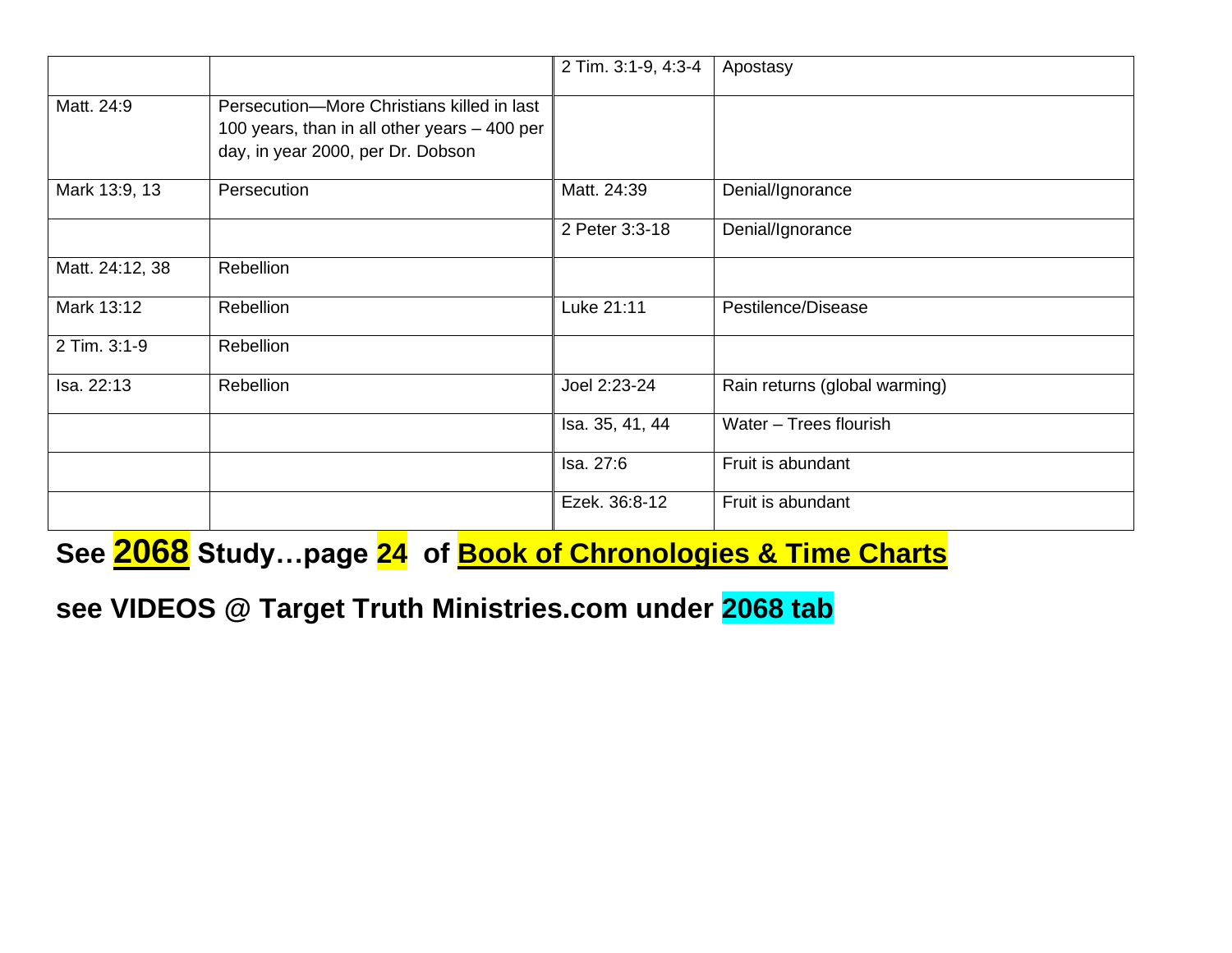|                 |                                                                                                                                 | 2 Tim. 3:1-9, 4:3-4 | Apostasy                      |
|-----------------|---------------------------------------------------------------------------------------------------------------------------------|---------------------|-------------------------------|
| Matt. 24:9      | Persecution-More Christians killed in last<br>100 years, than in all other years - 400 per<br>day, in year 2000, per Dr. Dobson |                     |                               |
| Mark 13:9, 13   | Persecution                                                                                                                     | Matt. 24:39         | Denial/Ignorance              |
|                 |                                                                                                                                 | 2 Peter 3:3-18      | Denial/Ignorance              |
| Matt. 24:12, 38 | Rebellion                                                                                                                       |                     |                               |
| Mark 13:12      | <b>Rebellion</b>                                                                                                                | Luke 21:11          | Pestilence/Disease            |
| 2 Tim. 3:1-9    | <b>Rebellion</b>                                                                                                                |                     |                               |
| Isa. 22:13      | Rebellion                                                                                                                       | Joel 2:23-24        | Rain returns (global warming) |
|                 |                                                                                                                                 | Isa. 35, 41, 44     | Water - Trees flourish        |
|                 |                                                                                                                                 | Isa. 27:6           | Fruit is abundant             |
|                 |                                                                                                                                 | Ezek. 36:8-12       | Fruit is abundant             |

**See 2068 Study…page 24 of Book of Chronologies & Time Charts**

**see VIDEOS @ Target Truth Ministries.com under 2068 tab**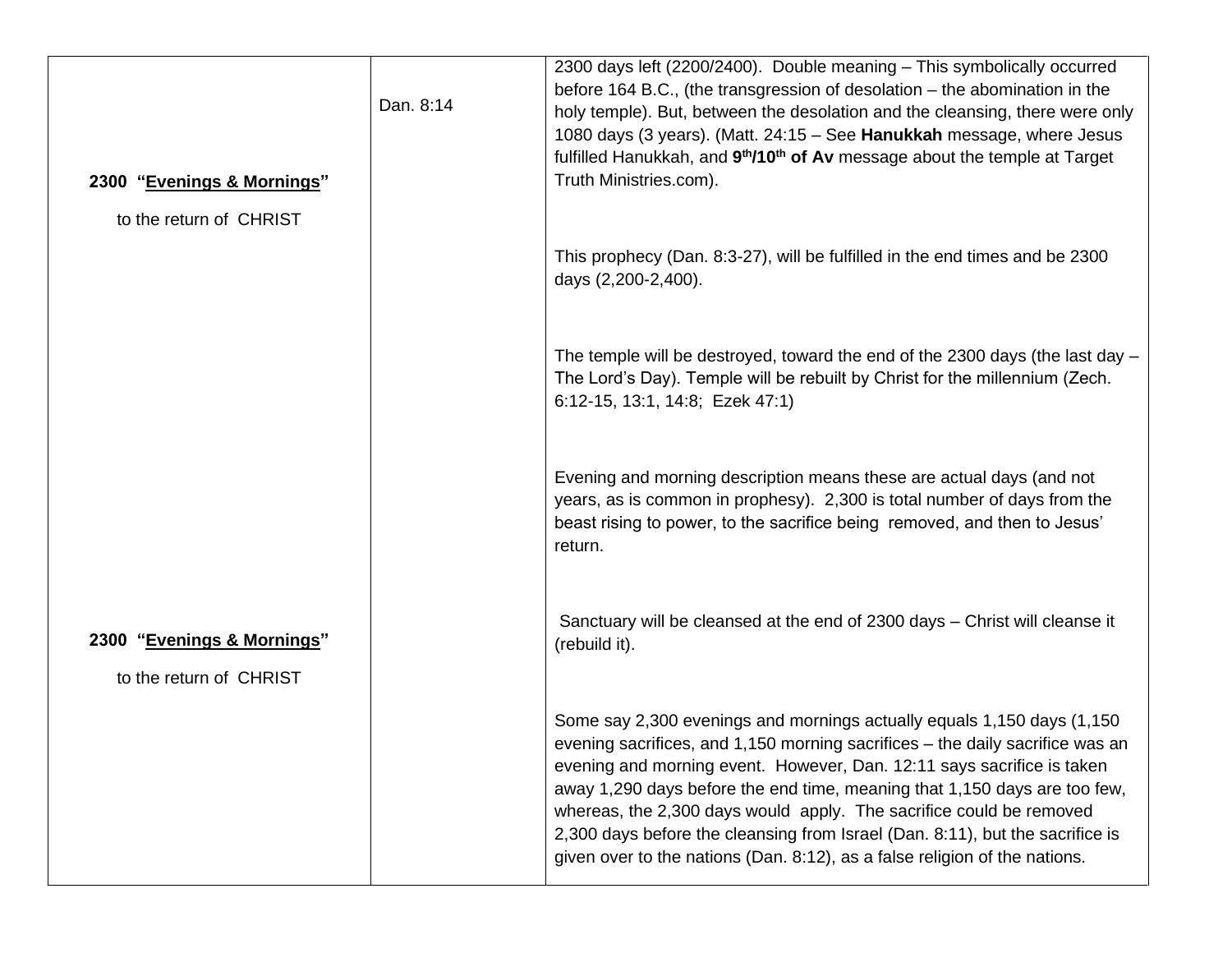| 2300 "Evenings & Mornings"                            | Dan. 8:14 | 2300 days left (2200/2400). Double meaning - This symbolically occurred<br>before 164 B.C., (the transgression of desolation – the abomination in the<br>holy temple). But, between the desolation and the cleansing, there were only<br>1080 days (3 years). (Matt. 24:15 - See Hanukkah message, where Jesus<br>fulfilled Hanukkah, and 9 <sup>th</sup> /10 <sup>th</sup> of Av message about the temple at Target<br>Truth Ministries.com).                                                                                                       |
|-------------------------------------------------------|-----------|------------------------------------------------------------------------------------------------------------------------------------------------------------------------------------------------------------------------------------------------------------------------------------------------------------------------------------------------------------------------------------------------------------------------------------------------------------------------------------------------------------------------------------------------------|
| to the return of CHRIST                               |           |                                                                                                                                                                                                                                                                                                                                                                                                                                                                                                                                                      |
|                                                       |           | This prophecy (Dan. 8:3-27), will be fulfilled in the end times and be 2300<br>days (2,200-2,400).                                                                                                                                                                                                                                                                                                                                                                                                                                                   |
|                                                       |           | The temple will be destroyed, toward the end of the 2300 days (the last day -<br>The Lord's Day). Temple will be rebuilt by Christ for the millennium (Zech.<br>6:12-15, 13:1, 14:8; Ezek 47:1)                                                                                                                                                                                                                                                                                                                                                      |
|                                                       |           | Evening and morning description means these are actual days (and not<br>years, as is common in prophesy). 2,300 is total number of days from the<br>beast rising to power, to the sacrifice being removed, and then to Jesus'<br>return.                                                                                                                                                                                                                                                                                                             |
| 2300 "Evenings & Mornings"<br>to the return of CHRIST |           | Sanctuary will be cleansed at the end of 2300 days - Christ will cleanse it<br>(rebuild it).                                                                                                                                                                                                                                                                                                                                                                                                                                                         |
|                                                       |           | Some say 2,300 evenings and mornings actually equals 1,150 days (1,150<br>evening sacrifices, and 1,150 morning sacrifices - the daily sacrifice was an<br>evening and morning event. However, Dan. 12:11 says sacrifice is taken<br>away 1,290 days before the end time, meaning that 1,150 days are too few,<br>whereas, the 2,300 days would apply. The sacrifice could be removed<br>2,300 days before the cleansing from Israel (Dan. 8:11), but the sacrifice is<br>given over to the nations (Dan. 8:12), as a false religion of the nations. |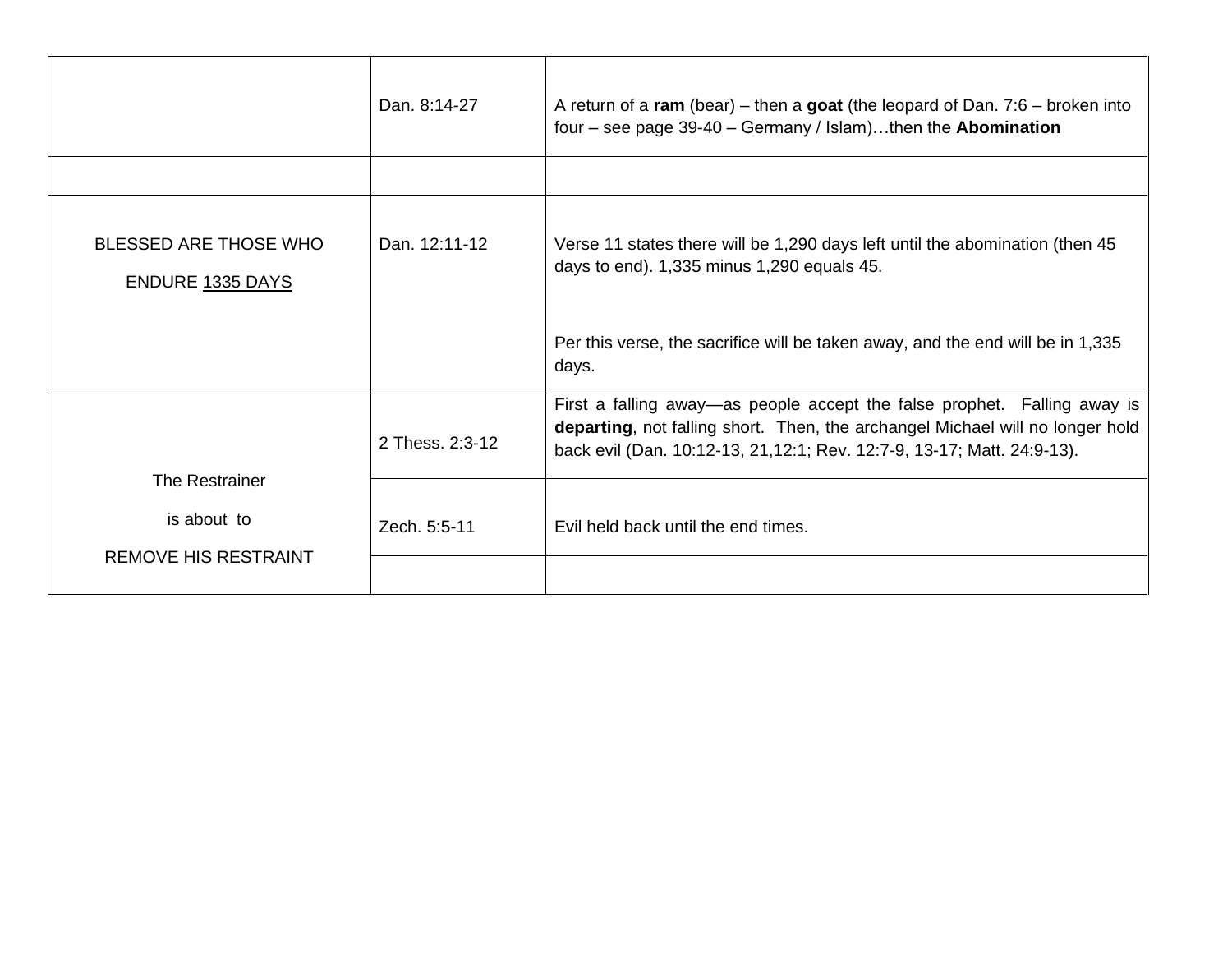|                                                                     | Dan. 8:14-27    | A return of a ram (bear) – then a goat (the leopard of Dan. $7:6$ – broken into<br>four – see page $39-40$ – Germany / Islam)then the Abomination                                                                                    |
|---------------------------------------------------------------------|-----------------|--------------------------------------------------------------------------------------------------------------------------------------------------------------------------------------------------------------------------------------|
| <b>BLESSED ARE THOSE WHO</b><br><b>ENDURE 1335 DAYS</b>             | Dan. 12:11-12   | Verse 11 states there will be 1,290 days left until the abomination (then 45)<br>days to end). 1,335 minus 1,290 equals 45.                                                                                                          |
|                                                                     |                 | Per this verse, the sacrifice will be taken away, and the end will be in 1,335<br>days.                                                                                                                                              |
|                                                                     | 2 Thess. 2:3-12 | First a falling away—as people accept the false prophet. Falling away is<br>departing, not falling short. Then, the archangel Michael will no longer hold<br>back evil (Dan. 10:12-13, 21, 12:1; Rev. 12:7-9, 13-17; Matt. 24:9-13). |
| <b>The Restrainer</b><br>is about to<br><b>REMOVE HIS RESTRAINT</b> | Zech. 5:5-11    | Evil held back until the end times.                                                                                                                                                                                                  |
|                                                                     |                 |                                                                                                                                                                                                                                      |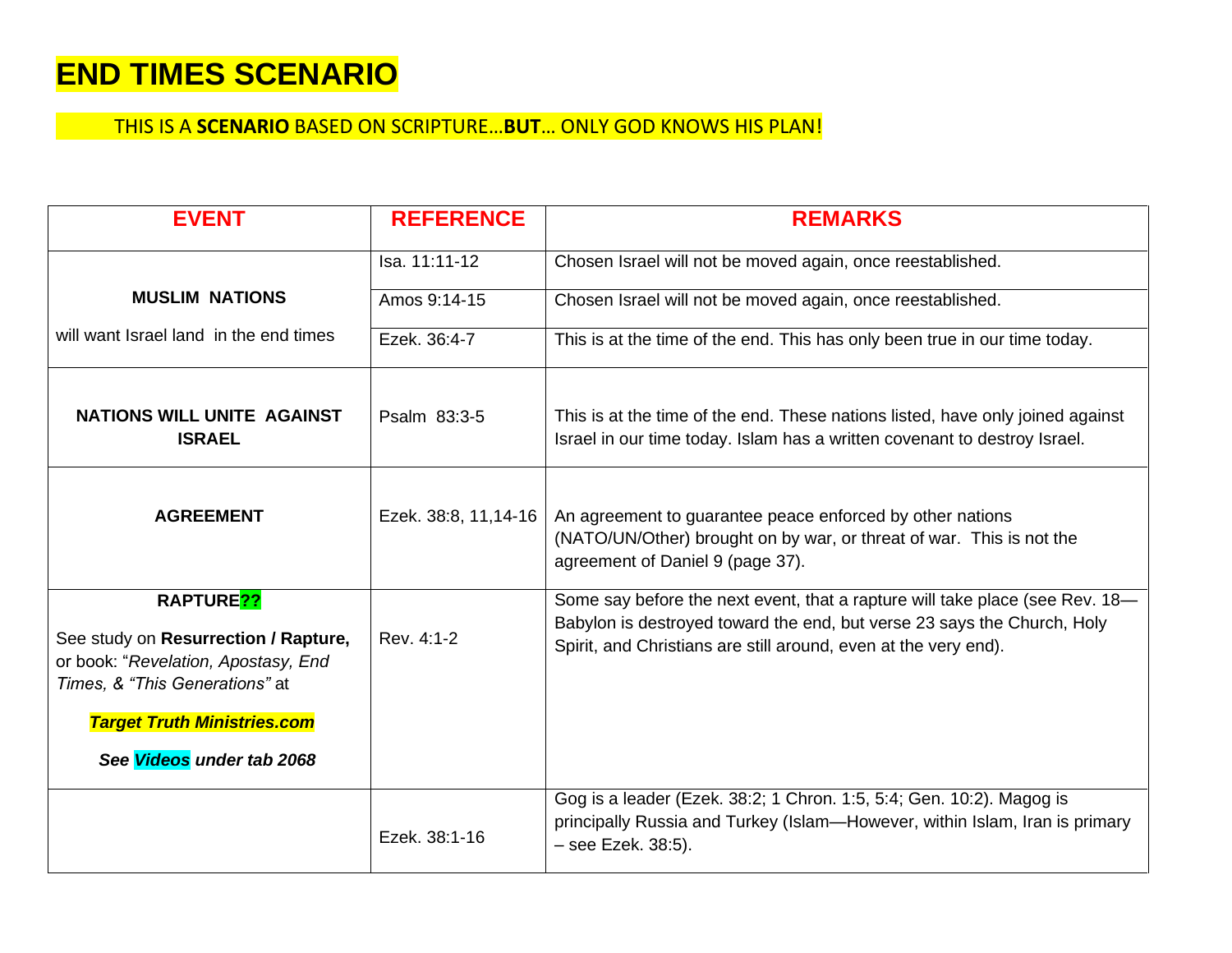## **END TIMES SCENARIO**

### THIS IS A **SCENARIO** BASED ON SCRIPTURE…**BUT**… ONLY GOD KNOWS HIS PLAN!

| <b>EVENT</b>                                                                                                                           | <b>REFERENCE</b>      | <b>REMARKS</b>                                                                                                                                                                                                             |
|----------------------------------------------------------------------------------------------------------------------------------------|-----------------------|----------------------------------------------------------------------------------------------------------------------------------------------------------------------------------------------------------------------------|
|                                                                                                                                        | Isa. 11:11-12         | Chosen Israel will not be moved again, once reestablished.                                                                                                                                                                 |
| <b>MUSLIM NATIONS</b>                                                                                                                  | Amos 9:14-15          | Chosen Israel will not be moved again, once reestablished.                                                                                                                                                                 |
| will want Israel land in the end times                                                                                                 | Ezek. 36:4-7          | This is at the time of the end. This has only been true in our time today.                                                                                                                                                 |
| <b>NATIONS WILL UNITE AGAINST</b><br><b>ISRAEL</b>                                                                                     | Psalm 83:3-5          | This is at the time of the end. These nations listed, have only joined against<br>Israel in our time today. Islam has a written covenant to destroy Israel.                                                                |
| <b>AGREEMENT</b>                                                                                                                       | Ezek. 38:8, 11, 14-16 | An agreement to guarantee peace enforced by other nations<br>(NATO/UN/Other) brought on by war, or threat of war. This is not the<br>agreement of Daniel 9 (page 37).                                                      |
| RAPTURE <sub>??</sub><br>See study on Resurrection / Rapture,<br>or book: "Revelation, Apostasy, End<br>Times, & "This Generations" at | Rev. 4:1-2            | Some say before the next event, that a rapture will take place (see Rev. 18-<br>Babylon is destroyed toward the end, but verse 23 says the Church, Holy<br>Spirit, and Christians are still around, even at the very end). |
| <b>Target Truth Ministries.com</b><br>See Videos under tab 2068                                                                        |                       |                                                                                                                                                                                                                            |
|                                                                                                                                        |                       |                                                                                                                                                                                                                            |
|                                                                                                                                        | Ezek. 38:1-16         | Gog is a leader (Ezek. 38:2; 1 Chron. 1:5, 5:4; Gen. 10:2). Magog is<br>principally Russia and Turkey (Islam-However, within Islam, Iran is primary<br>- see Ezek. 38:5).                                                  |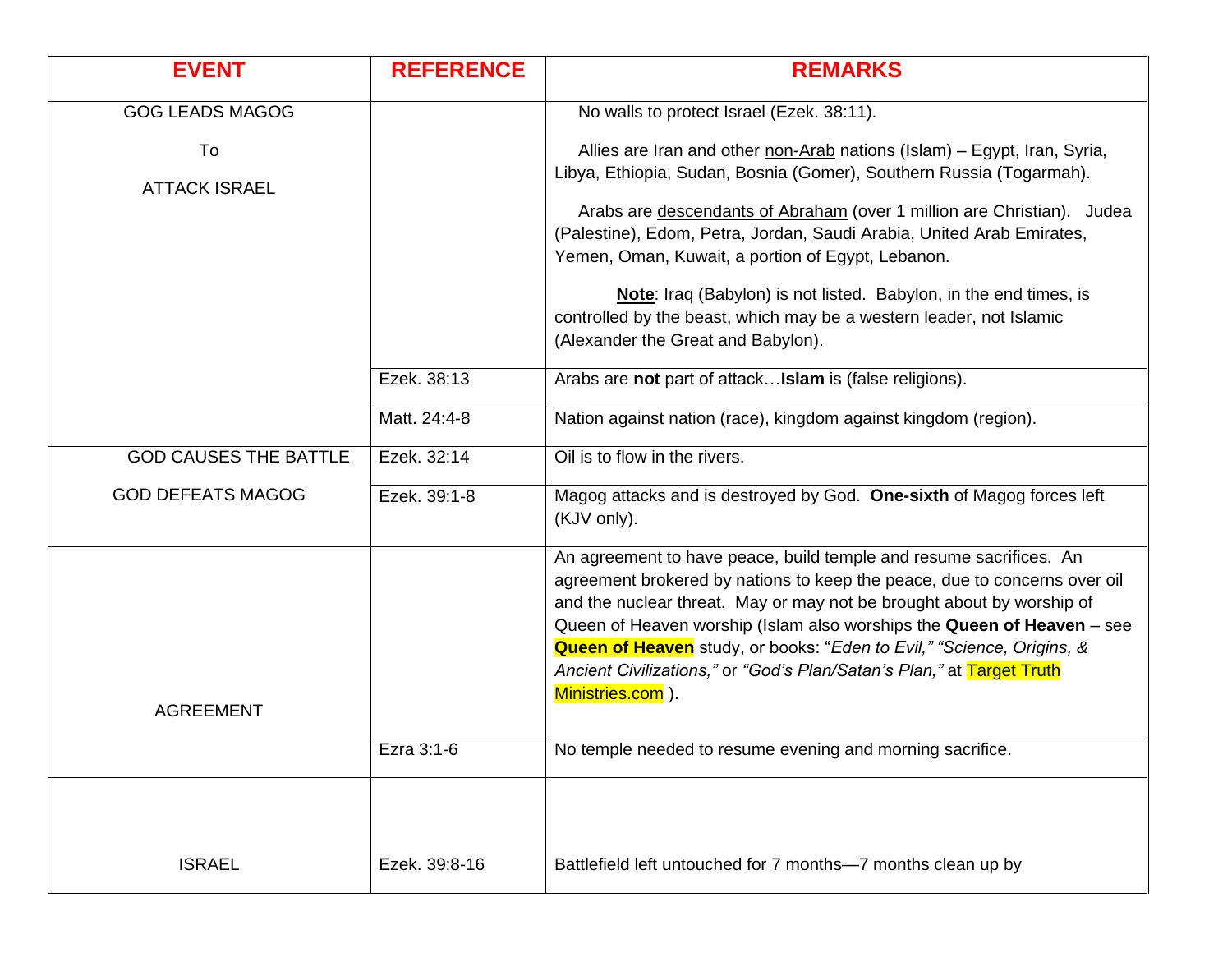| <b>EVENT</b>                 | <b>REFERENCE</b> | <b>REMARKS</b>                                                                                                                                                                                                                                                                                                                                                                                                                                                                   |
|------------------------------|------------------|----------------------------------------------------------------------------------------------------------------------------------------------------------------------------------------------------------------------------------------------------------------------------------------------------------------------------------------------------------------------------------------------------------------------------------------------------------------------------------|
| <b>GOG LEADS MAGOG</b>       |                  | No walls to protect Israel (Ezek. 38:11).                                                                                                                                                                                                                                                                                                                                                                                                                                        |
| To                           |                  | Allies are Iran and other non-Arab nations (Islam) - Egypt, Iran, Syria,                                                                                                                                                                                                                                                                                                                                                                                                         |
| <b>ATTACK ISRAEL</b>         |                  | Libya, Ethiopia, Sudan, Bosnia (Gomer), Southern Russia (Togarmah).                                                                                                                                                                                                                                                                                                                                                                                                              |
|                              |                  | Arabs are descendants of Abraham (over 1 million are Christian). Judea<br>(Palestine), Edom, Petra, Jordan, Saudi Arabia, United Arab Emirates,<br>Yemen, Oman, Kuwait, a portion of Egypt, Lebanon.                                                                                                                                                                                                                                                                             |
|                              |                  | Note: Iraq (Babylon) is not listed. Babylon, in the end times, is<br>controlled by the beast, which may be a western leader, not Islamic<br>(Alexander the Great and Babylon).                                                                                                                                                                                                                                                                                                   |
|                              | Ezek. 38:13      | Arabs are not part of attack Islam is (false religions).                                                                                                                                                                                                                                                                                                                                                                                                                         |
|                              | Matt. 24:4-8     | Nation against nation (race), kingdom against kingdom (region).                                                                                                                                                                                                                                                                                                                                                                                                                  |
| <b>GOD CAUSES THE BATTLE</b> | Ezek. 32:14      | Oil is to flow in the rivers.                                                                                                                                                                                                                                                                                                                                                                                                                                                    |
| <b>GOD DEFEATS MAGOG</b>     | Ezek. 39:1-8     | Magog attacks and is destroyed by God. One-sixth of Magog forces left<br>(KJV only).                                                                                                                                                                                                                                                                                                                                                                                             |
|                              |                  | An agreement to have peace, build temple and resume sacrifices. An<br>agreement brokered by nations to keep the peace, due to concerns over oil<br>and the nuclear threat. May or may not be brought about by worship of<br>Queen of Heaven worship (Islam also worships the Queen of Heaven - see<br><b>Queen of Heaven</b> study, or books: "Eden to Evil," "Science, Origins, &<br>Ancient Civilizations," or "God's Plan/Satan's Plan," at Target Truth<br>Ministries.com ). |
| <b>AGREEMENT</b>             |                  |                                                                                                                                                                                                                                                                                                                                                                                                                                                                                  |
|                              | Ezra 3:1-6       | No temple needed to resume evening and morning sacrifice.                                                                                                                                                                                                                                                                                                                                                                                                                        |
| <b>ISRAEL</b>                | Ezek. 39:8-16    | Battlefield left untouched for 7 months-7 months clean up by                                                                                                                                                                                                                                                                                                                                                                                                                     |
|                              |                  |                                                                                                                                                                                                                                                                                                                                                                                                                                                                                  |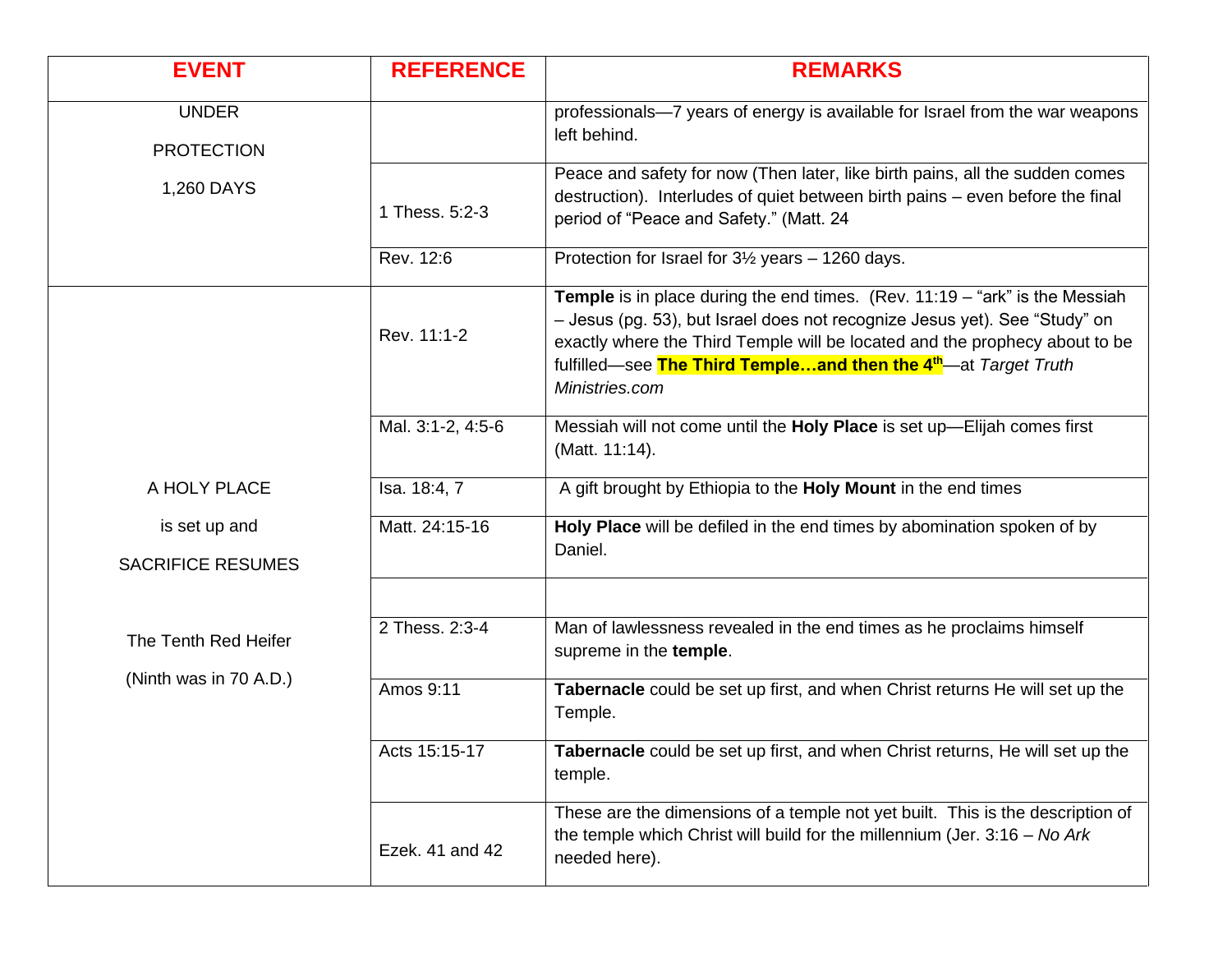| <b>EVENT</b>                              | <b>REFERENCE</b>  | <b>REMARKS</b>                                                                                                                                                                                                                                                                                                                                     |
|-------------------------------------------|-------------------|----------------------------------------------------------------------------------------------------------------------------------------------------------------------------------------------------------------------------------------------------------------------------------------------------------------------------------------------------|
| <b>UNDER</b><br><b>PROTECTION</b>         |                   | professionals-7 years of energy is available for Israel from the war weapons<br>left behind.                                                                                                                                                                                                                                                       |
| 1,260 DAYS                                | 1 Thess. 5:2-3    | Peace and safety for now (Then later, like birth pains, all the sudden comes<br>destruction). Interludes of quiet between birth pains - even before the final<br>period of "Peace and Safety." (Matt. 24                                                                                                                                           |
|                                           | Rev. 12:6         | Protection for Israel for 3½ years - 1260 days.                                                                                                                                                                                                                                                                                                    |
|                                           | Rev. 11:1-2       | <b>Temple</b> is in place during the end times. (Rev. $11:19 -$ "ark" is the Messiah<br>- Jesus (pg. 53), but Israel does not recognize Jesus yet). See "Study" on<br>exactly where the Third Temple will be located and the prophecy about to be<br>fulfilled—see The Third Templeand then the 4 <sup>th</sup> —at Target Truth<br>Ministries.com |
|                                           | Mal. 3:1-2, 4:5-6 | Messiah will not come until the Holy Place is set up-Elijah comes first<br>(Matt. 11:14).                                                                                                                                                                                                                                                          |
| A HOLY PLACE                              | Isa. 18:4, 7      | A gift brought by Ethiopia to the Holy Mount in the end times                                                                                                                                                                                                                                                                                      |
| is set up and<br><b>SACRIFICE RESUMES</b> | Matt. 24:15-16    | Holy Place will be defiled in the end times by abomination spoken of by<br>Daniel.                                                                                                                                                                                                                                                                 |
|                                           |                   |                                                                                                                                                                                                                                                                                                                                                    |
| The Tenth Red Heifer                      | 2 Thess. 2:3-4    | Man of lawlessness revealed in the end times as he proclaims himself<br>supreme in the temple.                                                                                                                                                                                                                                                     |
| (Ninth was in 70 A.D.)                    | Amos 9:11         | Tabernacle could be set up first, and when Christ returns He will set up the<br>Temple.                                                                                                                                                                                                                                                            |
|                                           | Acts 15:15-17     | Tabernacle could be set up first, and when Christ returns, He will set up the<br>temple.                                                                                                                                                                                                                                                           |
|                                           | Ezek. 41 and 42   | These are the dimensions of a temple not yet built. This is the description of<br>the temple which Christ will build for the millennium (Jer. $3:16 - No$ Ark<br>needed here).                                                                                                                                                                     |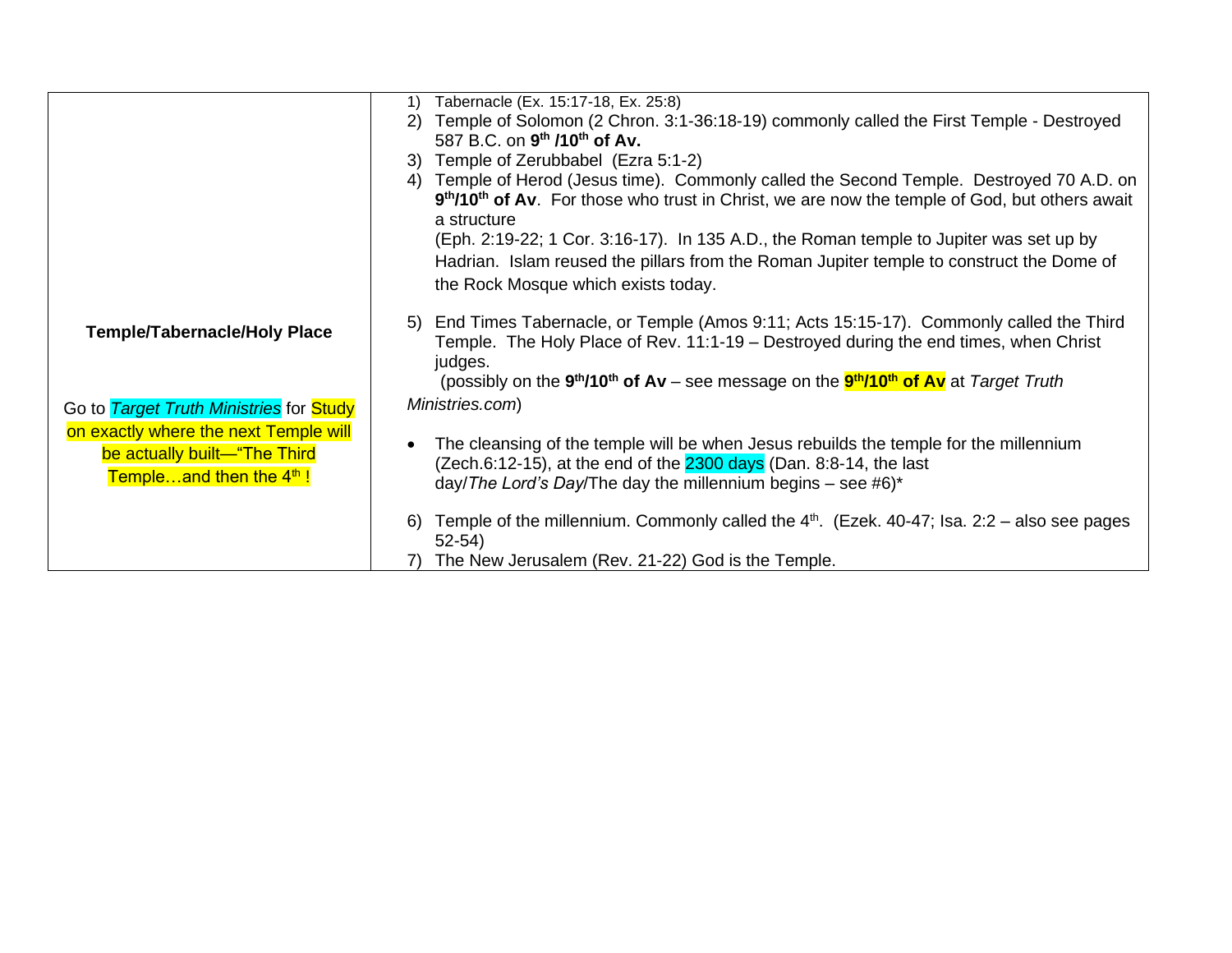|                                                                                                                    | Tabernacle (Ex. 15:17-18, Ex. 25:8)<br>1)                                                                                                                                                                                               |
|--------------------------------------------------------------------------------------------------------------------|-----------------------------------------------------------------------------------------------------------------------------------------------------------------------------------------------------------------------------------------|
|                                                                                                                    | Temple of Solomon (2 Chron. 3:1-36:18-19) commonly called the First Temple - Destroyed<br>2)                                                                                                                                            |
|                                                                                                                    | 587 B.C. on 9 <sup>th</sup> /10 <sup>th</sup> of Av.                                                                                                                                                                                    |
|                                                                                                                    | 3) Temple of Zerubbabel (Ezra 5:1-2)                                                                                                                                                                                                    |
|                                                                                                                    | Temple of Herod (Jesus time). Commonly called the Second Temple. Destroyed 70 A.D. on<br>4)<br>9th/10th of Av. For those who trust in Christ, we are now the temple of God, but others await<br>a structure                             |
|                                                                                                                    | (Eph. 2:19-22; 1 Cor. 3:16-17). In 135 A.D., the Roman temple to Jupiter was set up by                                                                                                                                                  |
|                                                                                                                    | Hadrian. Islam reused the pillars from the Roman Jupiter temple to construct the Dome of<br>the Rock Mosque which exists today.                                                                                                         |
| Temple/Tabernacle/Holy Place                                                                                       | End Times Tabernacle, or Temple (Amos 9:11; Acts 15:15-17). Commonly called the Third<br>5)<br>Temple. The Holy Place of Rev. 11:1-19 – Destroyed during the end times, when Christ<br>judges.                                          |
|                                                                                                                    | (possibly on the 9 <sup>th</sup> /10 <sup>th</sup> of Av – see message on the <b>9<sup>th</sup>/10<sup>th</sup> of Av</b> at Target Truth                                                                                               |
| Go to Target Truth Ministries for Study                                                                            | Ministries.com)                                                                                                                                                                                                                         |
| on exactly where the next Temple will<br>be actually built-"The Third<br><b>Templeand then the 4<sup>th</sup>!</b> | The cleansing of the temple will be when Jesus rebuilds the temple for the millennium<br>$\bullet$<br>(Zech.6:12-15), at the end of the 2300 days (Dan. 8:8-14, the last<br>day/The Lord's Day/The day the millennium begins – see #6)* |
|                                                                                                                    | Temple of the millennium. Commonly called the $4th$ . (Ezek. 40-47; Isa. 2:2 – also see pages<br>6)<br>$52 - 54$                                                                                                                        |
|                                                                                                                    | 7) The New Jerusalem (Rev. 21-22) God is the Temple.                                                                                                                                                                                    |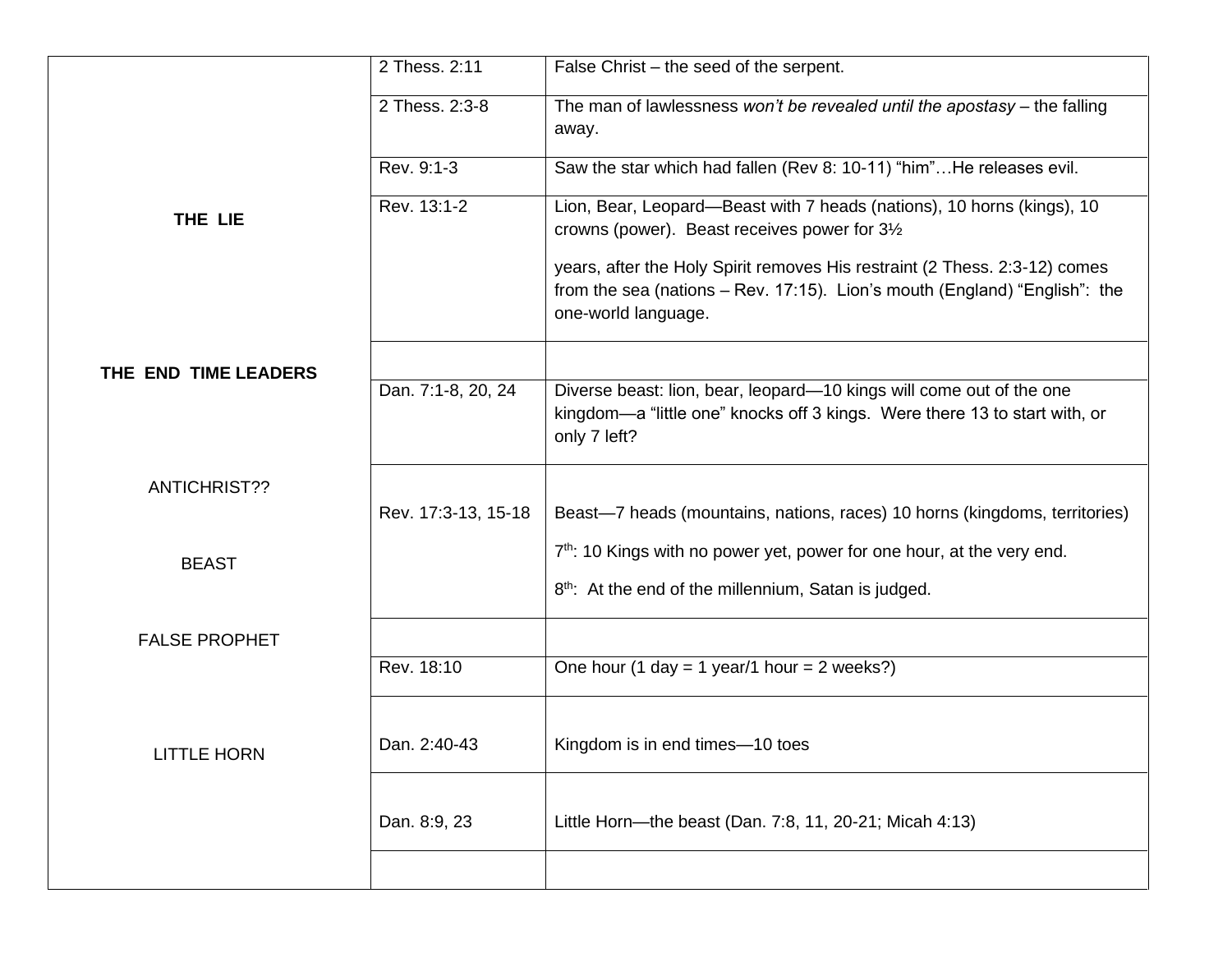|                      | 2 Thess. 2:11       | False Christ – the seed of the serpent.                                                                                                                                         |
|----------------------|---------------------|---------------------------------------------------------------------------------------------------------------------------------------------------------------------------------|
|                      | 2 Thess. 2:3-8      | The man of lawlessness won't be revealed until the apostasy $-$ the falling<br>away.                                                                                            |
|                      | Rev. 9:1-3          | Saw the star which had fallen (Rev 8: 10-11) "him"He releases evil.                                                                                                             |
| THE LIE              | Rev. 13:1-2         | Lion, Bear, Leopard—Beast with 7 heads (nations), 10 horns (kings), 10<br>crowns (power). Beast receives power for 31/2                                                         |
|                      |                     | years, after the Holy Spirit removes His restraint (2 Thess. 2:3-12) comes<br>from the sea (nations - Rev. 17:15). Lion's mouth (England) "English": the<br>one-world language. |
| THE END TIME LEADERS |                     |                                                                                                                                                                                 |
|                      | Dan. 7:1-8, 20, 24  | Diverse beast: lion, bear, leopard-10 kings will come out of the one<br>kingdom—a "little one" knocks off 3 kings. Were there 13 to start with, or<br>only 7 left?              |
| <b>ANTICHRIST??</b>  |                     |                                                                                                                                                                                 |
|                      | Rev. 17:3-13, 15-18 | Beast-7 heads (mountains, nations, races) 10 horns (kingdoms, territories)                                                                                                      |
| <b>BEAST</b>         |                     | $7th$ : 10 Kings with no power yet, power for one hour, at the very end.                                                                                                        |
|                      |                     | 8 <sup>th</sup> : At the end of the millennium, Satan is judged.                                                                                                                |
| <b>FALSE PROPHET</b> |                     |                                                                                                                                                                                 |
|                      | Rev. 18:10          | One hour (1 day = 1 year/1 hour = 2 weeks?)                                                                                                                                     |
|                      |                     |                                                                                                                                                                                 |
| <b>LITTLE HORN</b>   | Dan. 2:40-43        | Kingdom is in end times—10 toes                                                                                                                                                 |
|                      | Dan. 8:9, 23        | Little Horn-the beast (Dan. 7:8, 11, 20-21; Micah 4:13)                                                                                                                         |
|                      |                     |                                                                                                                                                                                 |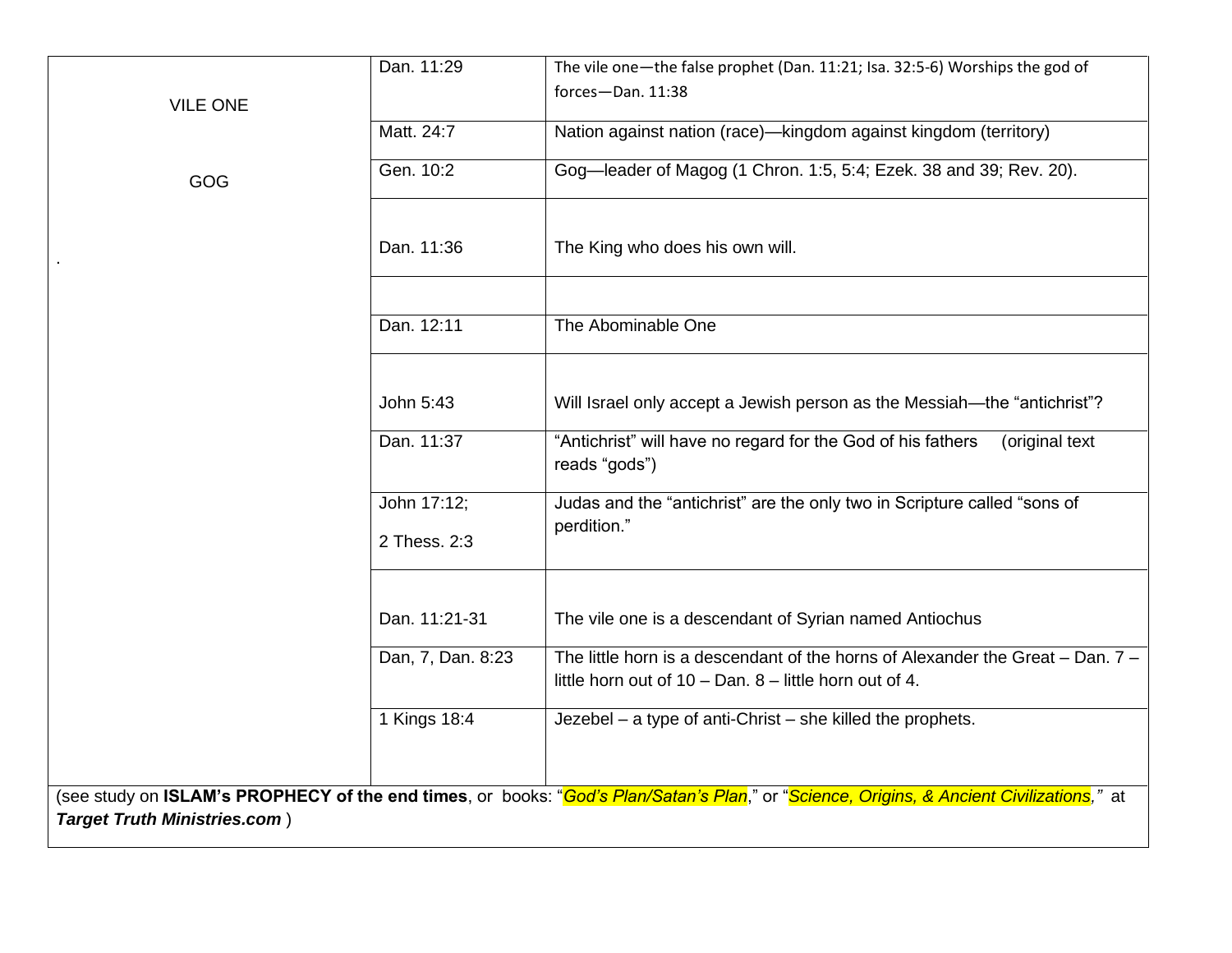|                                     | Dan. 11:29        | The vile one-the false prophet (Dan. 11:21; Isa. 32:5-6) Worships the god of                                                                                    |  |
|-------------------------------------|-------------------|-----------------------------------------------------------------------------------------------------------------------------------------------------------------|--|
|                                     |                   | forces-Dan. 11:38                                                                                                                                               |  |
| <b>VILE ONE</b>                     |                   |                                                                                                                                                                 |  |
|                                     | Matt. 24:7        | Nation against nation (race)-kingdom against kingdom (territory)                                                                                                |  |
| GOG                                 | Gen. 10:2         | Gog-leader of Magog (1 Chron. 1:5, 5:4; Ezek. 38 and 39; Rev. 20).                                                                                              |  |
|                                     |                   |                                                                                                                                                                 |  |
|                                     | Dan. 11:36        | The King who does his own will.                                                                                                                                 |  |
|                                     |                   |                                                                                                                                                                 |  |
|                                     | Dan. 12:11        | The Abominable One                                                                                                                                              |  |
|                                     |                   |                                                                                                                                                                 |  |
|                                     | John 5:43         | Will Israel only accept a Jewish person as the Messiah-the "antichrist"?                                                                                        |  |
|                                     | Dan. 11:37        | "Antichrist" will have no regard for the God of his fathers<br>(original text<br>reads "gods")                                                                  |  |
|                                     | John 17:12;       | Judas and the "antichrist" are the only two in Scripture called "sons of                                                                                        |  |
|                                     | 2 Thess. 2:3      | perdition."                                                                                                                                                     |  |
|                                     |                   |                                                                                                                                                                 |  |
|                                     | Dan. 11:21-31     | The vile one is a descendant of Syrian named Antiochus                                                                                                          |  |
|                                     | Dan, 7, Dan. 8:23 | The little horn is a descendant of the horns of Alexander the Great $-$ Dan. $7 -$<br>little horn out of $10 - Dan$ . $8 - little$ horn out of 4.               |  |
|                                     | 1 Kings 18:4      | Jezebel - a type of anti-Christ - she killed the prophets.                                                                                                      |  |
|                                     |                   |                                                                                                                                                                 |  |
| <b>Target Truth Ministries.com)</b> |                   | (see study on <b>ISLAM's PROPHECY of the end times</b> , or books: " <mark>God's Plan/Satan's Plan</mark> ," or "Science, Origins, & Ancient Civilizations," at |  |
|                                     |                   |                                                                                                                                                                 |  |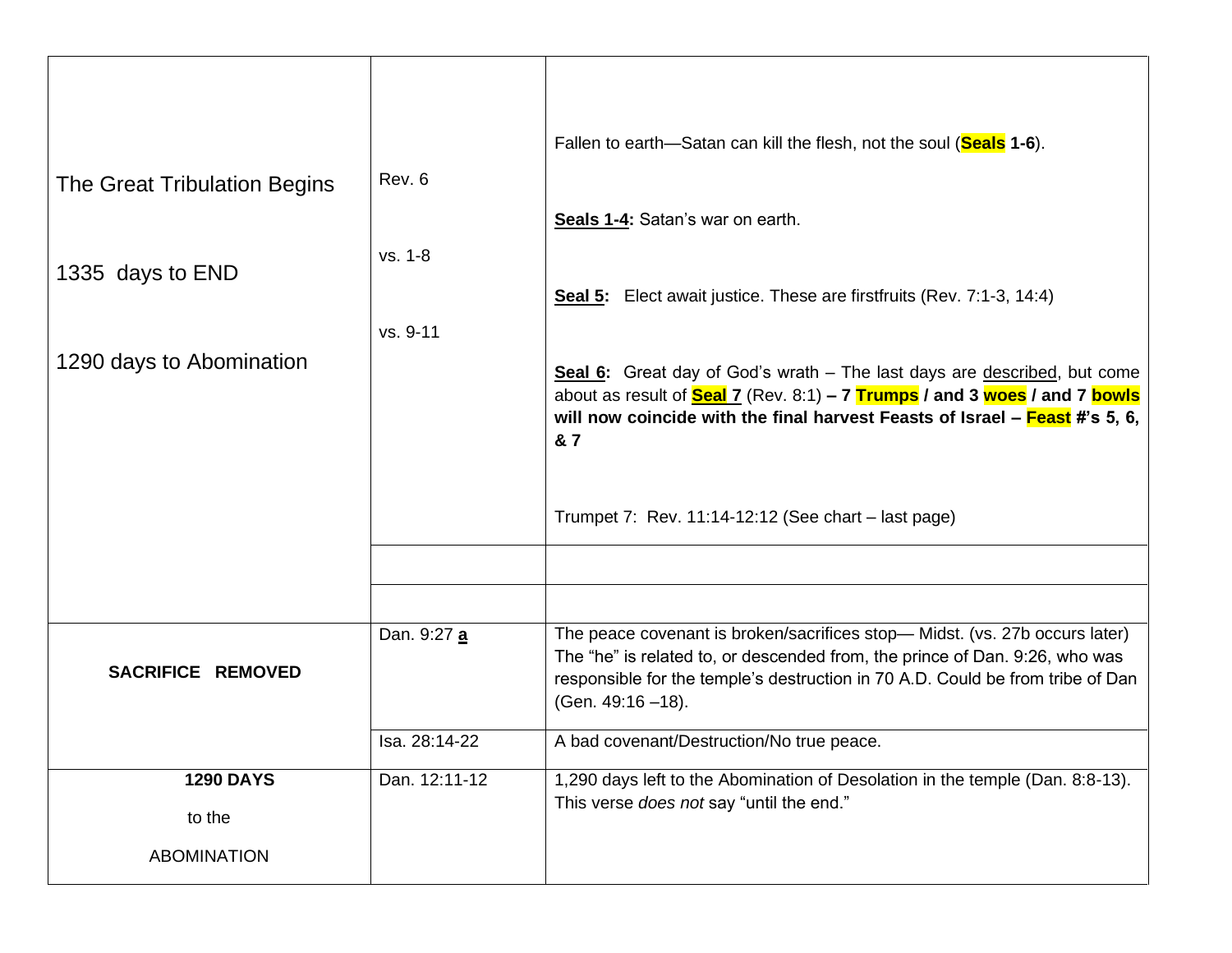|                              |               | Fallen to earth—Satan can kill the flesh, not the soul (Seals 1-6).                                                                                                                                                                                                                                                                                 |
|------------------------------|---------------|-----------------------------------------------------------------------------------------------------------------------------------------------------------------------------------------------------------------------------------------------------------------------------------------------------------------------------------------------------|
| The Great Tribulation Begins | Rev. 6        |                                                                                                                                                                                                                                                                                                                                                     |
|                              | vs. 1-8       | Seals 1-4: Satan's war on earth.                                                                                                                                                                                                                                                                                                                    |
| 1335 days to END             |               | Seal 5: Elect await justice. These are firstfruits (Rev. 7:1-3, 14:4)                                                                                                                                                                                                                                                                               |
|                              | vs. 9-11      |                                                                                                                                                                                                                                                                                                                                                     |
| 1290 days to Abomination     |               | Seal 6: Great day of God's wrath - The last days are described, but come<br>about as result of $\frac{\text{Scal}}{2}$ (Rev. 8:1) – 7 $\frac{\text{Trumps}}{\text{Imops}}$ / and 3 $\frac{\text{woes}}{\text{cos}}$ / and 7 $\frac{\text{bowls}}{\text{cos}}$<br>will now coincide with the final harvest Feasts of Israel – Feast #'s 5, 6,<br>& 7 |
|                              |               | Trumpet 7: Rev. $11:14-12:12$ (See chart – last page)                                                                                                                                                                                                                                                                                               |
|                              |               |                                                                                                                                                                                                                                                                                                                                                     |
| SACRIFICE REMOVED            | Dan. 9:27 a   | The peace covenant is broken/sacrifices stop-Midst. (vs. 27b occurs later)<br>The "he" is related to, or descended from, the prince of Dan. 9:26, who was<br>responsible for the temple's destruction in 70 A.D. Could be from tribe of Dan<br>(Gen. 49:16 -18).                                                                                    |
|                              | Isa. 28:14-22 | A bad covenant/Destruction/No true peace.                                                                                                                                                                                                                                                                                                           |
| <b>1290 DAYS</b><br>to the   | Dan. 12:11-12 | 1,290 days left to the Abomination of Desolation in the temple (Dan. 8:8-13).<br>This verse does not say "until the end."                                                                                                                                                                                                                           |
| <b>ABOMINATION</b>           |               |                                                                                                                                                                                                                                                                                                                                                     |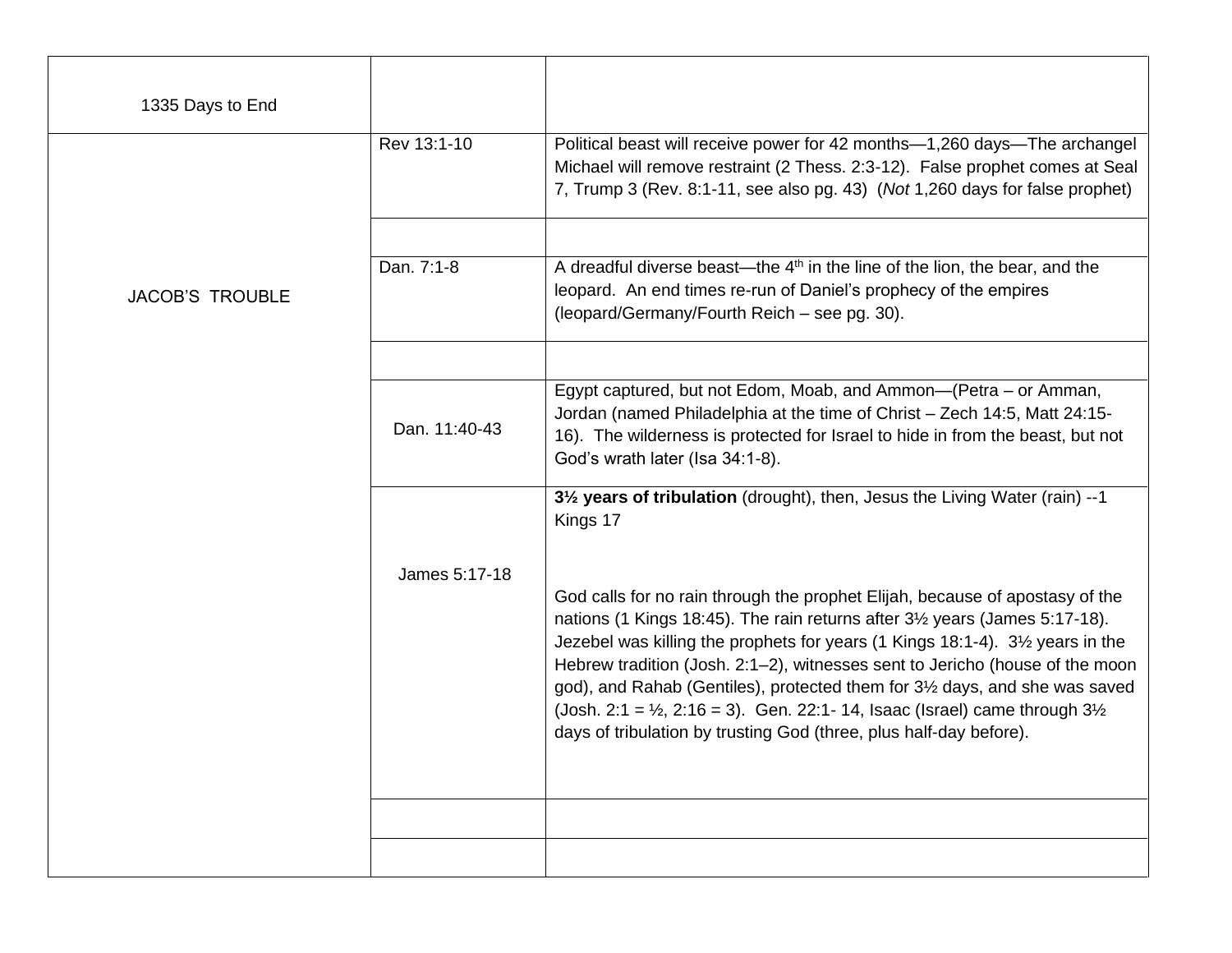| 1335 Days to End       |               |                                                                                                                                                                                                                                                                                                                                                                                                                                                                                                                                                                                                                           |
|------------------------|---------------|---------------------------------------------------------------------------------------------------------------------------------------------------------------------------------------------------------------------------------------------------------------------------------------------------------------------------------------------------------------------------------------------------------------------------------------------------------------------------------------------------------------------------------------------------------------------------------------------------------------------------|
|                        | Rev 13:1-10   | Political beast will receive power for 42 months-1,260 days-The archangel<br>Michael will remove restraint (2 Thess. 2:3-12). False prophet comes at Seal<br>7, Trump 3 (Rev. 8:1-11, see also pg. 43) (Not 1,260 days for false prophet)                                                                                                                                                                                                                                                                                                                                                                                 |
| <b>JACOB'S TROUBLE</b> | Dan. 7:1-8    | A dreadful diverse beast—the $4th$ in the line of the lion, the bear, and the<br>leopard. An end times re-run of Daniel's prophecy of the empires<br>(leopard/Germany/Fourth Reich - see pg. 30).                                                                                                                                                                                                                                                                                                                                                                                                                         |
|                        | Dan. 11:40-43 | Egypt captured, but not Edom, Moab, and Ammon-(Petra - or Amman,<br>Jordan (named Philadelphia at the time of Christ - Zech 14:5, Matt 24:15-<br>16). The wilderness is protected for Israel to hide in from the beast, but not<br>God's wrath later (Isa 34:1-8).                                                                                                                                                                                                                                                                                                                                                        |
|                        |               | 31/ <sub>2</sub> years of tribulation (drought), then, Jesus the Living Water (rain) --1<br>Kings 17                                                                                                                                                                                                                                                                                                                                                                                                                                                                                                                      |
|                        | James 5:17-18 | God calls for no rain through the prophet Elijah, because of apostasy of the<br>nations (1 Kings 18:45). The rain returns after 3 <sup>1</sup> / <sub>2</sub> years (James 5:17-18).<br>Jezebel was killing the prophets for years (1 Kings 18:1-4). 3½ years in the<br>Hebrew tradition (Josh. 2:1-2), witnesses sent to Jericho (house of the moon<br>god), and Rahab (Gentiles), protected them for 3 <sup>1/2</sup> days, and she was saved<br>(Josh. 2:1 = $\frac{1}{2}$ , 2:16 = 3). Gen. 22:1-14, Isaac (Israel) came through $3\frac{1}{2}$<br>days of tribulation by trusting God (three, plus half-day before). |
|                        |               |                                                                                                                                                                                                                                                                                                                                                                                                                                                                                                                                                                                                                           |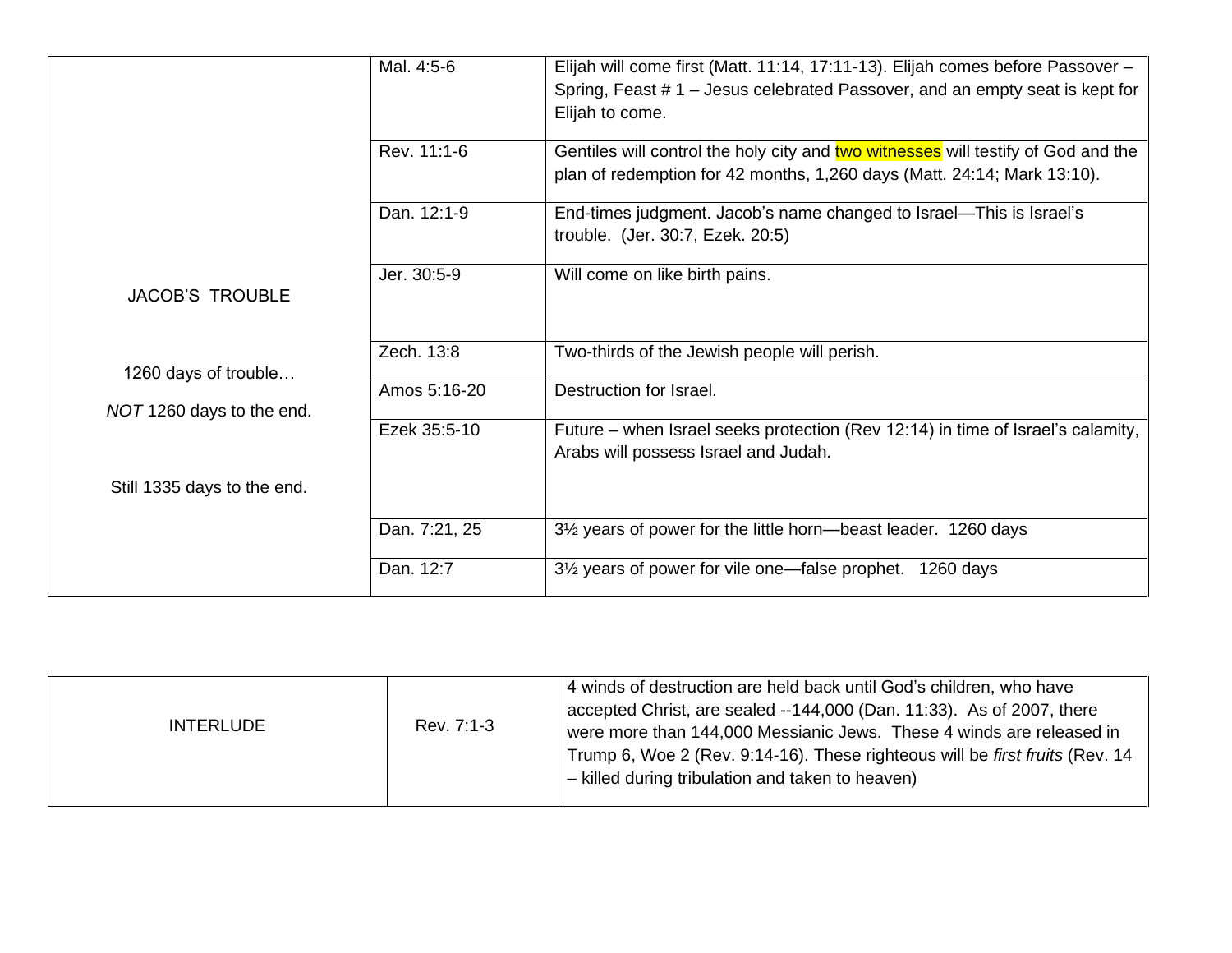|                             | Mal. 4:5-6    | Elijah will come first (Matt. 11:14, 17:11-13). Elijah comes before Passover -<br>Spring, Feast # 1 – Jesus celebrated Passover, and an empty seat is kept for<br>Elijah to come. |
|-----------------------------|---------------|-----------------------------------------------------------------------------------------------------------------------------------------------------------------------------------|
|                             | Rev. 11:1-6   | Gentiles will control the holy city and two witnesses will testify of God and the<br>plan of redemption for 42 months, 1,260 days (Matt. 24:14; Mark 13:10).                      |
|                             | Dan. 12:1-9   | End-times judgment. Jacob's name changed to Israel—This is Israel's<br>trouble. (Jer. 30:7, Ezek. 20:5)                                                                           |
| <b>JACOB'S TROUBLE</b>      | Jer. 30:5-9   | Will come on like birth pains.                                                                                                                                                    |
| 1260 days of trouble        | Zech. 13:8    | Two-thirds of the Jewish people will perish.                                                                                                                                      |
| NOT 1260 days to the end.   | Amos 5:16-20  | Destruction for Israel.                                                                                                                                                           |
|                             | Ezek 35:5-10  | Future – when Israel seeks protection (Rev 12:14) in time of Israel's calamity,<br>Arabs will possess Israel and Judah.                                                           |
| Still 1335 days to the end. |               |                                                                                                                                                                                   |
|                             | Dan. 7:21, 25 | 3 <sup>1/2</sup> years of power for the little horn—beast leader. 1260 days                                                                                                       |
|                             | Dan. 12:7     | 3 <sup>1/2</sup> years of power for vile one—false prophet.<br>1260 days                                                                                                          |

| Rev. 7:1-3<br><b>INTERLUDE</b> | 4 winds of destruction are held back until God's children, who have<br>accepted Christ, are sealed --144,000 (Dan. 11:33). As of 2007, there<br>were more than 144,000 Messianic Jews. These 4 winds are released in<br>Trump 6, Woe 2 (Rev. 9:14-16). These righteous will be first fruits (Rev. 14<br>- killed during tribulation and taken to heaven) |
|--------------------------------|----------------------------------------------------------------------------------------------------------------------------------------------------------------------------------------------------------------------------------------------------------------------------------------------------------------------------------------------------------|
|--------------------------------|----------------------------------------------------------------------------------------------------------------------------------------------------------------------------------------------------------------------------------------------------------------------------------------------------------------------------------------------------------|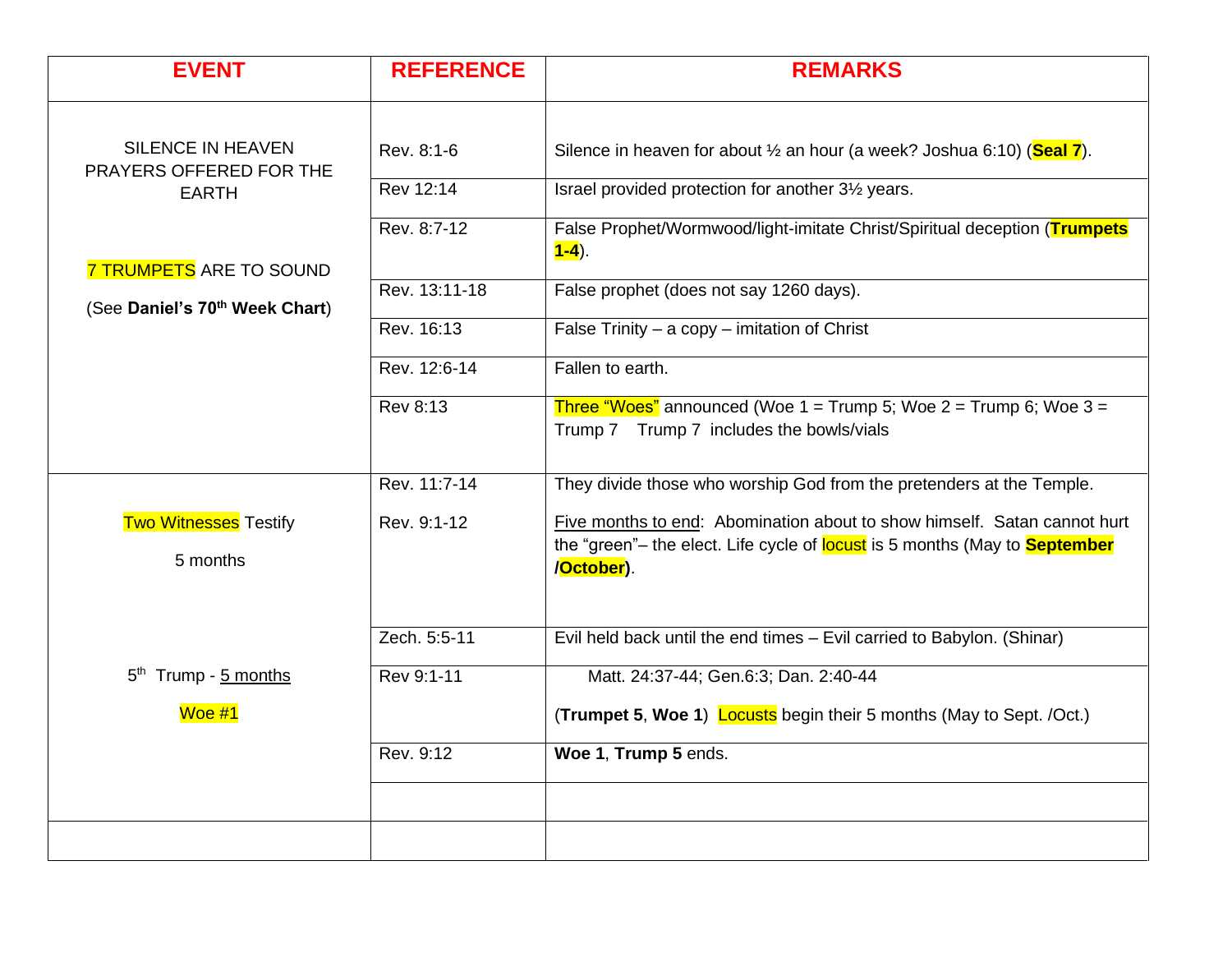| <b>EVENT</b>                                                                 | <b>REFERENCE</b> | <b>REMARKS</b>                                                                                                                                                              |
|------------------------------------------------------------------------------|------------------|-----------------------------------------------------------------------------------------------------------------------------------------------------------------------------|
| <b>SILENCE IN HEAVEN</b>                                                     | Rev. 8:1-6       | Silence in heaven for about $\frac{1}{2}$ an hour (a week? Joshua 6:10) (Seal 7).                                                                                           |
| PRAYERS OFFERED FOR THE<br><b>EARTH</b>                                      | Rev 12:14        | Israel provided protection for another 31/2 years.                                                                                                                          |
|                                                                              | Rev. 8:7-12      | False Prophet/Wormwood/light-imitate Christ/Spiritual deception (Trumpets<br>$1 - 4$ ).                                                                                     |
| <b>7 TRUMPETS ARE TO SOUND</b><br>(See Daniel's 70 <sup>th</sup> Week Chart) | Rev. 13:11-18    | False prophet (does not say 1260 days).                                                                                                                                     |
|                                                                              | Rev. 16:13       | False Trinity $-$ a copy $-$ imitation of Christ                                                                                                                            |
|                                                                              | Rev. 12:6-14     | Fallen to earth.                                                                                                                                                            |
|                                                                              | <b>Rev 8:13</b>  | Three "Woes" announced (Woe $1 =$ Trump 5; Woe $2 =$ Trump 6; Woe $3 =$<br>Trump 7 Trump 7 includes the bowls/vials                                                         |
|                                                                              | Rev. 11:7-14     | They divide those who worship God from the pretenders at the Temple.                                                                                                        |
| <b>Two Witnesses Testify</b><br>5 months                                     | Rev. 9:1-12      | Five months to end: Abomination about to show himself. Satan cannot hurt<br>the "green"- the elect. Life cycle of locust is 5 months (May to <b>September</b><br>/October). |
|                                                                              | Zech. 5:5-11     | Evil held back until the end times - Evil carried to Babylon. (Shinar)                                                                                                      |
| 5 <sup>th</sup> Trump - 5 months                                             | Rev 9:1-11       | Matt. 24:37-44; Gen.6:3; Dan. 2:40-44                                                                                                                                       |
| Woe #1                                                                       |                  | (Trumpet 5, Woe 1) Locusts begin their 5 months (May to Sept. /Oct.)                                                                                                        |
|                                                                              | Rev. 9:12        | Woe 1, Trump 5 ends.                                                                                                                                                        |
|                                                                              |                  |                                                                                                                                                                             |
|                                                                              |                  |                                                                                                                                                                             |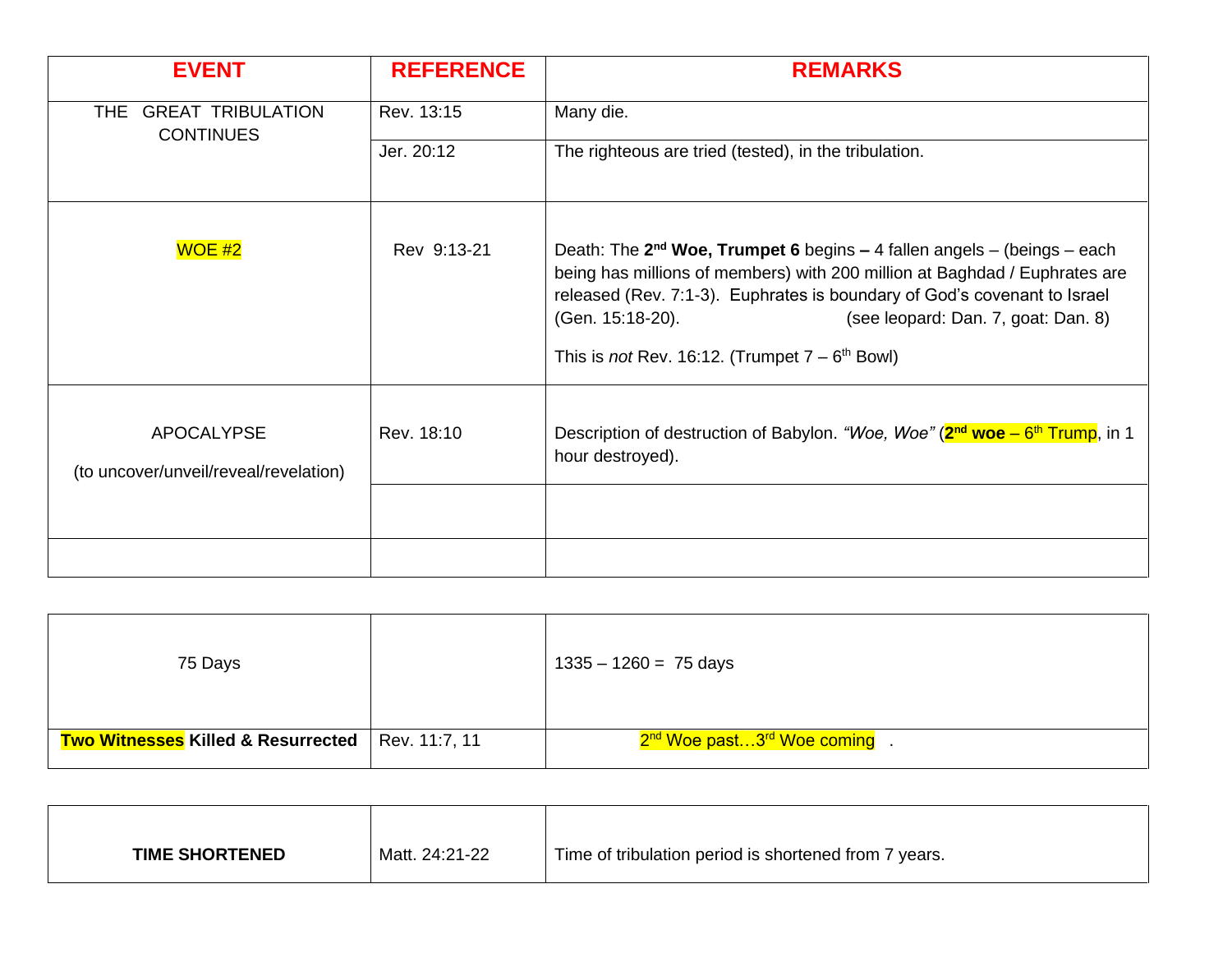| <b>EVENT</b>                                               | <b>REFERENCE</b> | <b>REMARKS</b>                                                                                                                                                                                                                                                                                                                                               |
|------------------------------------------------------------|------------------|--------------------------------------------------------------------------------------------------------------------------------------------------------------------------------------------------------------------------------------------------------------------------------------------------------------------------------------------------------------|
| <b>GREAT TRIBULATION</b><br>THE.<br><b>CONTINUES</b>       | Rev. 13:15       | Many die.                                                                                                                                                                                                                                                                                                                                                    |
|                                                            | Jer. 20:12       | The righteous are tried (tested), in the tribulation.                                                                                                                                                                                                                                                                                                        |
| $WOE$ #2                                                   | Rev 9:13-21      | Death: The $2^{nd}$ Woe, Trumpet 6 begins – 4 fallen angels – (beings – each<br>being has millions of members) with 200 million at Baghdad / Euphrates are<br>released (Rev. 7:1-3). Euphrates is boundary of God's covenant to Israel<br>(Gen. 15:18-20).<br>(see leopard: Dan. 7, goat: Dan. 8)<br>This is <i>not</i> Rev. 16:12. (Trumpet $7 - 6th$ Bowl) |
| <b>APOCALYPSE</b><br>(to uncover/unveil/reveal/revelation) | Rev. 18:10       | Description of destruction of Babylon. "Woe, Woe" ( $2^{nd}$ woe – $6^{th}$ Trump, in 1<br>hour destroyed).                                                                                                                                                                                                                                                  |
|                                                            |                  |                                                                                                                                                                                                                                                                                                                                                              |
|                                                            |                  |                                                                                                                                                                                                                                                                                                                                                              |

| 75 Days                                       |               | $1335 - 1260 = 75$ days                              |
|-----------------------------------------------|---------------|------------------------------------------------------|
| <b>Two Witnesses Killed &amp; Resurrected</b> | Rev. 11:7, 11 | 2 <sup>nd</sup> Woe past3 <sup>rd</sup> Woe coming . |

| <b>TIME SHORTENED</b> | Matt. 24:21-22 | Time of tribulation period is shortened from 7 years. |
|-----------------------|----------------|-------------------------------------------------------|
|                       |                |                                                       |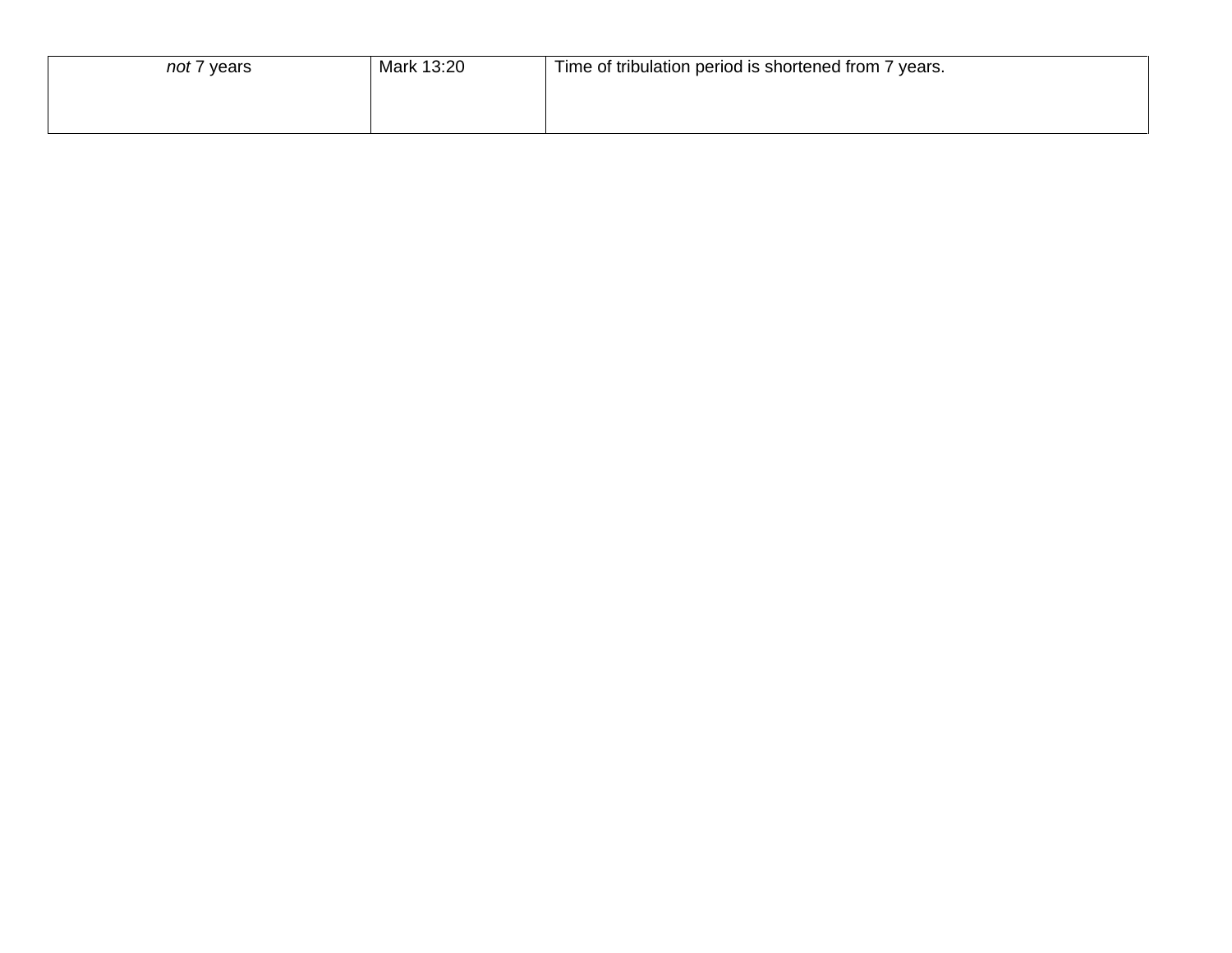| not 7 years | Mark 13:20 | Time of tribulation period is shortened from 7 years. |
|-------------|------------|-------------------------------------------------------|
|             |            |                                                       |
|             |            |                                                       |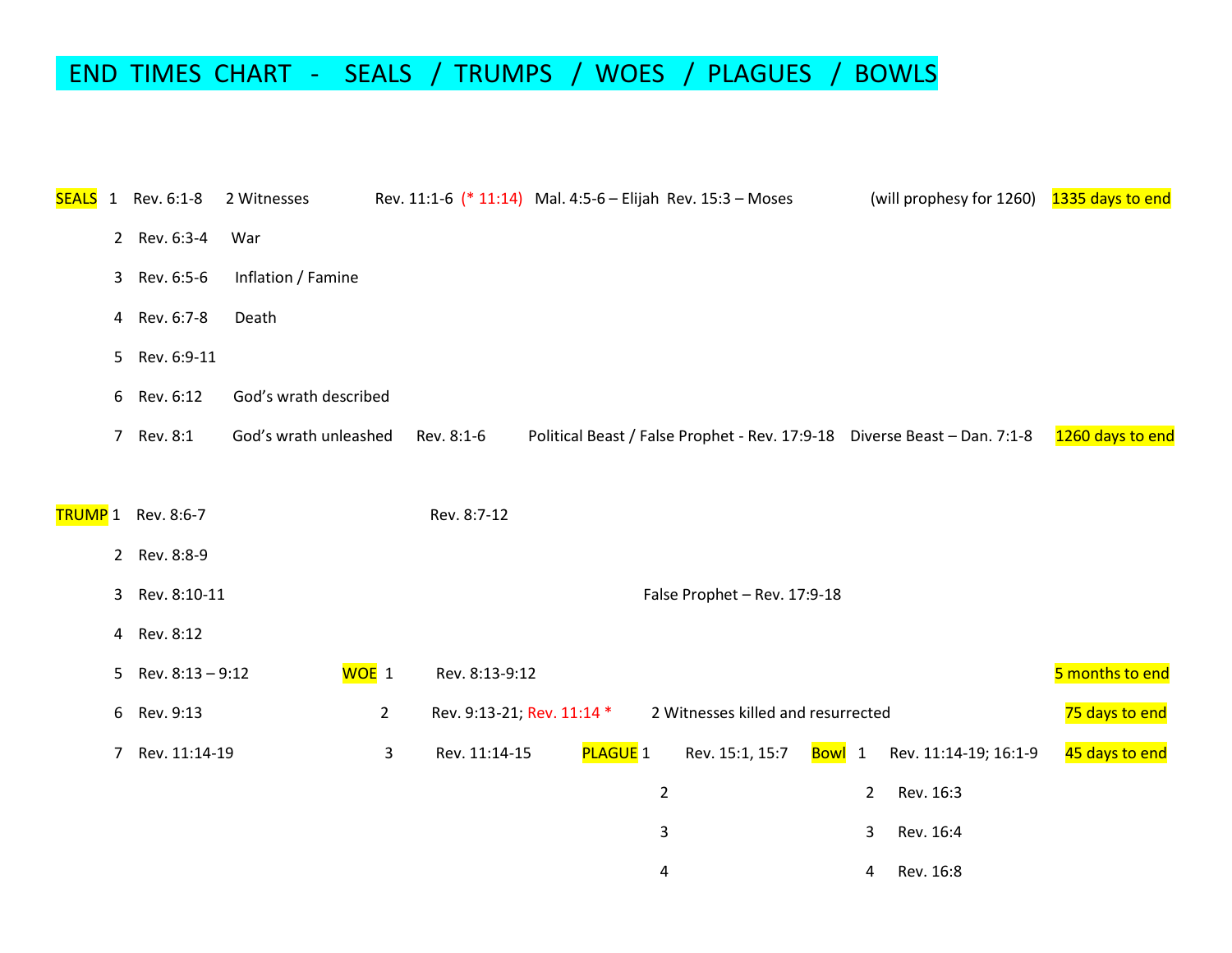### END TIMES CHART - SEALS / TRUMPS / WOES / PLAGUES / BOWLS

| <b>SEALS</b> | 1              | Rev. 6:1-8                | 2 Witnesses           |                | Rev. 11:1-6 (* 11:14) Mal. 4:5-6 - Elijah Rev. 15:3 - Moses |                |                                    |                     |                | (will prophesy for 1260) 1335 days to end                                  |                  |
|--------------|----------------|---------------------------|-----------------------|----------------|-------------------------------------------------------------|----------------|------------------------------------|---------------------|----------------|----------------------------------------------------------------------------|------------------|
|              |                | 2 Rev. 6:3-4              | War                   |                |                                                             |                |                                    |                     |                |                                                                            |                  |
|              | 3 <sup>1</sup> | Rev. 6:5-6                | Inflation / Famine    |                |                                                             |                |                                    |                     |                |                                                                            |                  |
|              | 4              | Rev. 6:7-8                | Death                 |                |                                                             |                |                                    |                     |                |                                                                            |                  |
|              | 5 <sub>1</sub> | Rev. 6:9-11               |                       |                |                                                             |                |                                    |                     |                |                                                                            |                  |
|              | 6              | Rev. 6:12                 | God's wrath described |                |                                                             |                |                                    |                     |                |                                                                            |                  |
|              | $7^{\circ}$    | Rev. 8:1                  | God's wrath unleashed |                | Rev. 8:1-6                                                  |                |                                    |                     |                | Political Beast / False Prophet - Rev. 17:9-18  Diverse Beast - Dan. 7:1-8 | 1260 days to end |
|              |                |                           |                       |                |                                                             |                |                                    |                     |                |                                                                            |                  |
|              |                | <b>TRUMP</b> 1 Rev. 8:6-7 |                       |                | Rev. 8:7-12                                                 |                |                                    |                     |                |                                                                            |                  |
|              |                | 2 Rev. 8:8-9              |                       |                |                                                             |                |                                    |                     |                |                                                                            |                  |
|              | 3              | Rev. 8:10-11              |                       |                |                                                             |                | False Prophet - Rev. 17:9-18       |                     |                |                                                                            |                  |
|              | $\overline{4}$ | Rev. 8:12                 |                       |                |                                                             |                |                                    |                     |                |                                                                            |                  |
|              | 5              | Rev. 8:13 - 9:12          | WOE 1                 |                | Rev. 8:13-9:12                                              |                |                                    |                     |                |                                                                            | 5 months to end  |
|              | 6              | Rev. 9:13                 |                       | $\overline{2}$ | Rev. 9:13-21; Rev. 11:14 *                                  |                | 2 Witnesses killed and resurrected |                     |                |                                                                            | 75 days to end   |
|              | 7              | Rev. 11:14-19             |                       | 3              | Rev. 11:14-15                                               | PLAGUE 1       | Rev. 15:1, 15:7                    | <mark>Bowl</mark> 1 |                | Rev. 11:14-19; 16:1-9                                                      | 45 days to end   |
|              |                |                           |                       |                |                                                             | $\overline{2}$ |                                    |                     | $\overline{2}$ | Rev. 16:3                                                                  |                  |
|              |                |                           |                       |                |                                                             | 3              |                                    |                     | 3              | Rev. 16:4                                                                  |                  |
|              |                |                           |                       |                |                                                             | 4              |                                    |                     | 4              | Rev. 16:8                                                                  |                  |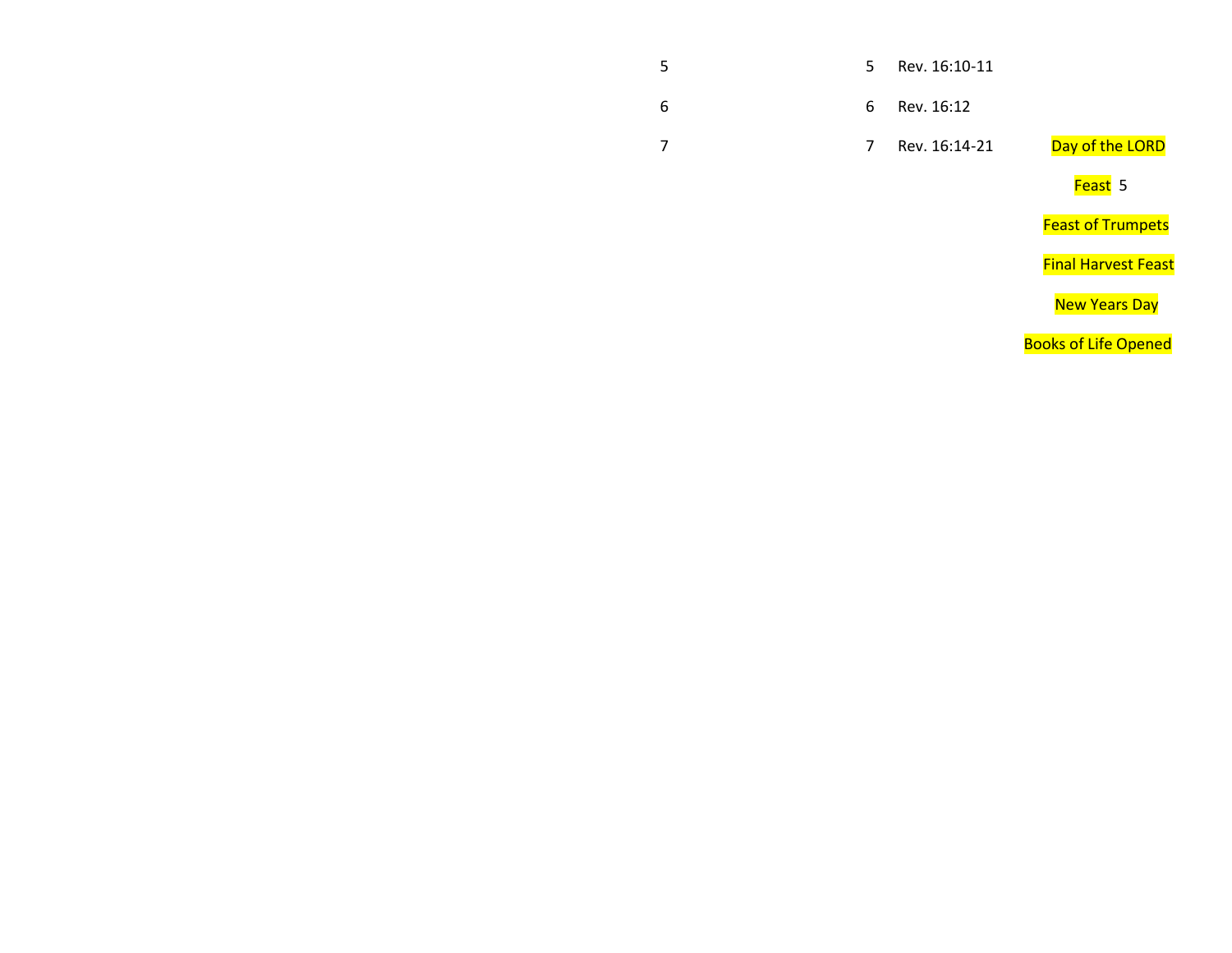#### 5 5 Rev. 16:10-11

6 6 Rev. 16:12

7 Rev. 16:14-21 Day of the LORD

en die deur die Staat van die Germanisatie van die Staatsmannen van die Staatsmannen van die Staat Staatsmannen

**Feast of Trumpets** 

Final Harvest Feast

new Years Day (New Years Day ) and the contract of the contract of the contract of the contract of the contract of the contract of the contract of the contract of the contract of the contract of the contract of the contrac

**Books of Life Opened**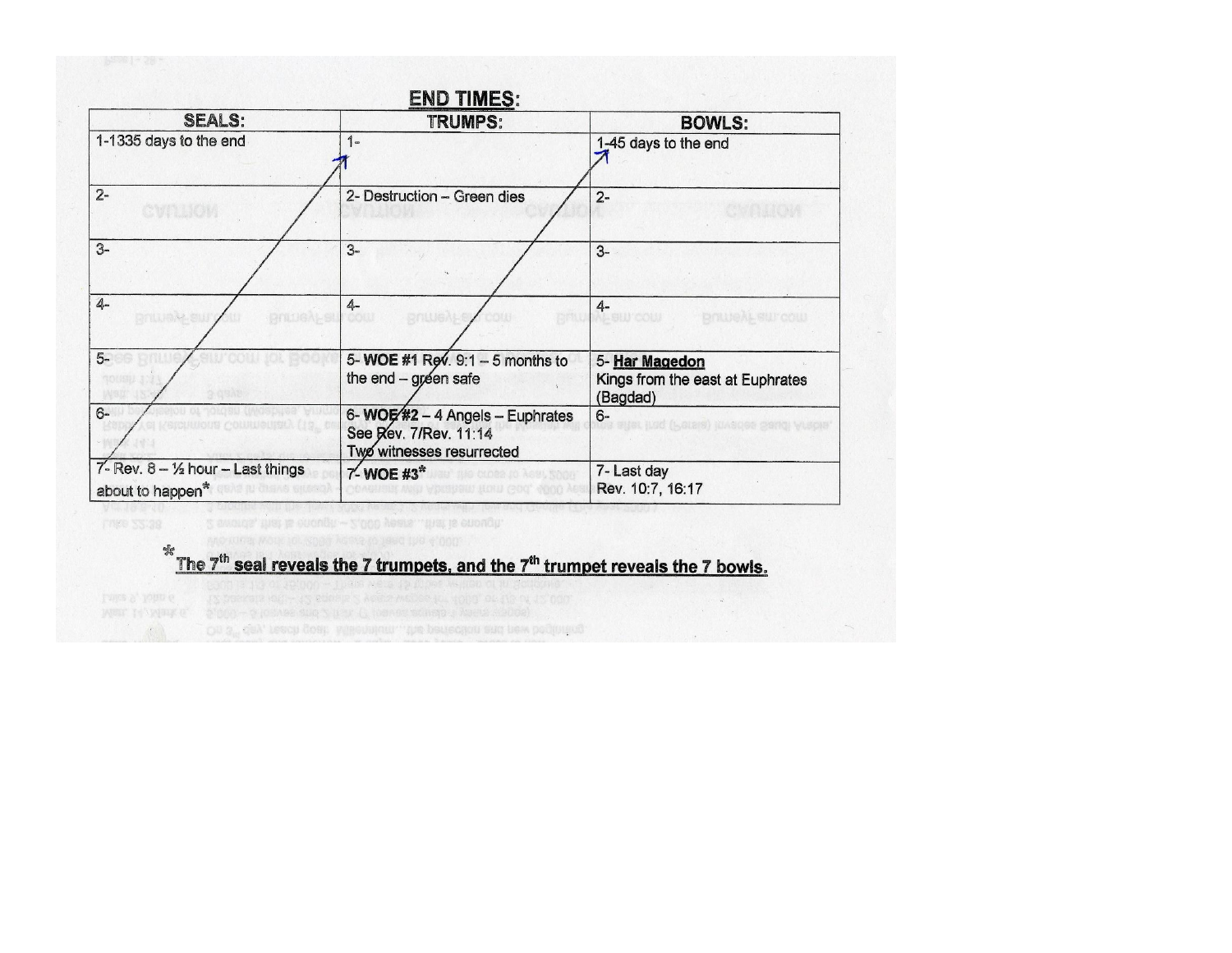

#### % The 7<sup>th</sup> seal reveals the 7 trumpets, and the 7<sup>th</sup> trumpet reveals the 7 bowls.

On 3" day, reach goal: Millennium, the periodion and new beginning.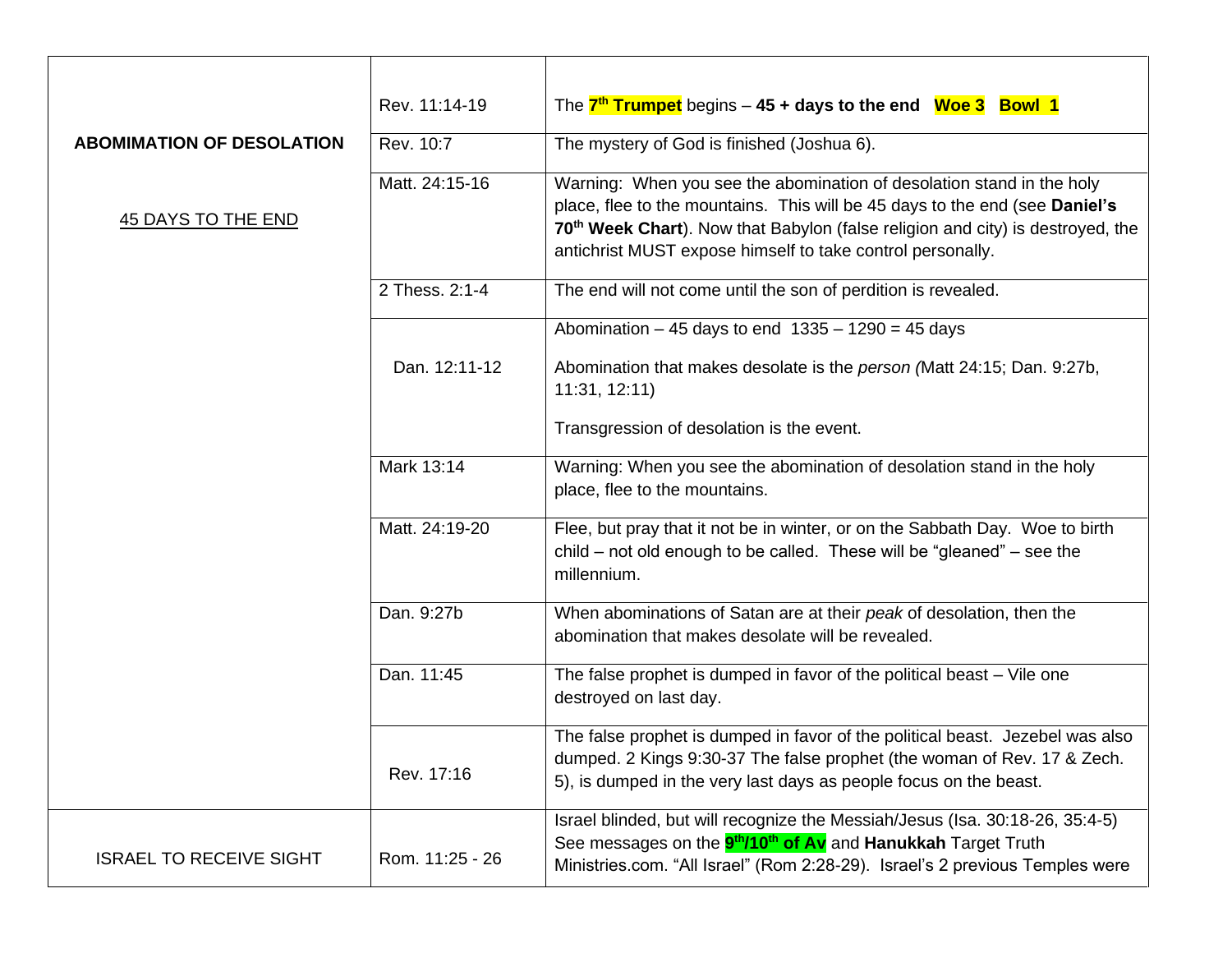|                                  | Rev. 11:14-19   | The $7th$ Trumpet begins $-45 +$ days to the end Woe 3 Bowl 1                                                                                                                                                                                                                                                    |
|----------------------------------|-----------------|------------------------------------------------------------------------------------------------------------------------------------------------------------------------------------------------------------------------------------------------------------------------------------------------------------------|
| <b>ABOMIMATION OF DESOLATION</b> | Rev. 10:7       | The mystery of God is finished (Joshua 6).                                                                                                                                                                                                                                                                       |
| <b>45 DAYS TO THE END</b>        | Matt. 24:15-16  | Warning: When you see the abomination of desolation stand in the holy<br>place, flee to the mountains. This will be 45 days to the end (see Daniel's<br>70 <sup>th</sup> Week Chart). Now that Babylon (false religion and city) is destroyed, the<br>antichrist MUST expose himself to take control personally. |
|                                  | 2 Thess. 2:1-4  | The end will not come until the son of perdition is revealed.                                                                                                                                                                                                                                                    |
|                                  |                 | Abomination $-45$ days to end $1335 - 1290 = 45$ days                                                                                                                                                                                                                                                            |
|                                  | Dan. 12:11-12   | Abomination that makes desolate is the <i>person</i> (Matt 24:15; Dan. 9:27b,<br>11:31, 12:11                                                                                                                                                                                                                    |
|                                  |                 | Transgression of desolation is the event.                                                                                                                                                                                                                                                                        |
|                                  | Mark 13:14      | Warning: When you see the abomination of desolation stand in the holy<br>place, flee to the mountains.                                                                                                                                                                                                           |
| Matt. 24:19-20                   |                 | Flee, but pray that it not be in winter, or on the Sabbath Day. Woe to birth<br>child – not old enough to be called. These will be "gleaned" – see the<br>millennium.                                                                                                                                            |
|                                  | Dan. 9:27b      | When abominations of Satan are at their peak of desolation, then the<br>abomination that makes desolate will be revealed.                                                                                                                                                                                        |
|                                  | Dan. 11:45      | The false prophet is dumped in favor of the political beast - Vile one<br>destroyed on last day.                                                                                                                                                                                                                 |
|                                  | Rev. 17:16      | The false prophet is dumped in favor of the political beast. Jezebel was also<br>dumped. 2 Kings 9:30-37 The false prophet (the woman of Rev. 17 & Zech.<br>5), is dumped in the very last days as people focus on the beast.                                                                                    |
| <b>ISRAEL TO RECEIVE SIGHT</b>   | Rom. 11:25 - 26 | Israel blinded, but will recognize the Messiah/Jesus (Isa. 30:18-26, 35:4-5)<br>See messages on the <b>9<sup>th</sup>/10<sup>th</sup> of Av</b> and Hanukkah Target Truth<br>Ministries.com. "All Israel" (Rom 2:28-29). Israel's 2 previous Temples were                                                        |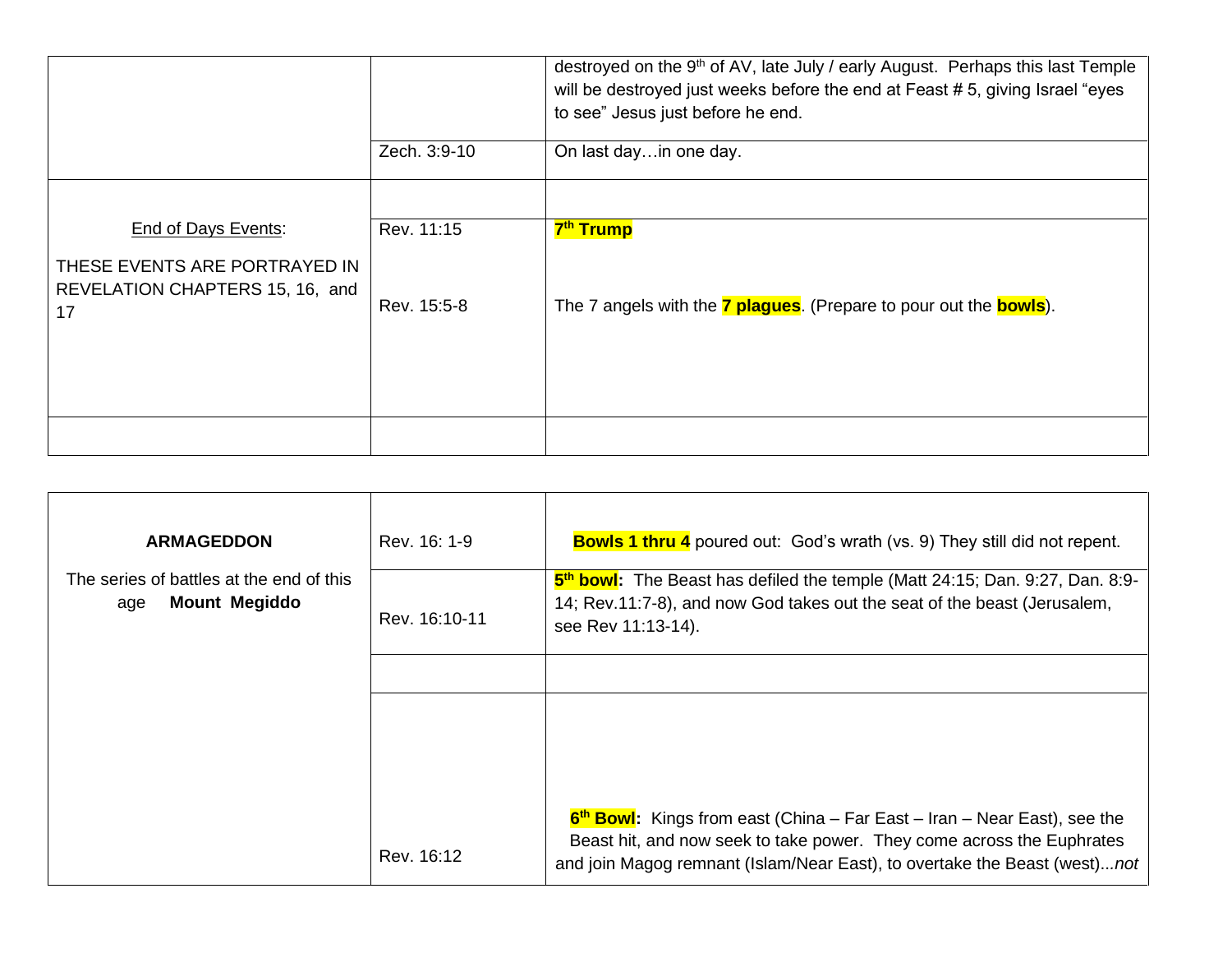|                                                                                         |              | destroyed on the 9 <sup>th</sup> of AV, late July / early August. Perhaps this last Temple<br>will be destroyed just weeks before the end at Feast # 5, giving Israel "eyes<br>to see" Jesus just before he end. |
|-----------------------------------------------------------------------------------------|--------------|------------------------------------------------------------------------------------------------------------------------------------------------------------------------------------------------------------------|
|                                                                                         | Zech. 3:9-10 | On last dayin one day.                                                                                                                                                                                           |
|                                                                                         |              |                                                                                                                                                                                                                  |
| End of Days Events:<br>THESE EVENTS ARE PORTRAYED IN<br>REVELATION CHAPTERS 15, 16, and | Rev. 11:15   | 7 <sup>th</sup> Trump                                                                                                                                                                                            |
| 17                                                                                      | Rev. 15:5-8  | The 7 angels with the <b>7 plagues</b> . (Prepare to pour out the <b>bowls</b> ).                                                                                                                                |
|                                                                                         |              |                                                                                                                                                                                                                  |

| <b>ARMAGEDDON</b>                                                       | Rev. 16: 1-9  | <b>Bowls 1 thru 4</b> poured out: God's wrath (vs. 9) They still did not repent.                                                                                                           |
|-------------------------------------------------------------------------|---------------|--------------------------------------------------------------------------------------------------------------------------------------------------------------------------------------------|
| The series of battles at the end of this<br><b>Mount Megiddo</b><br>age | Rev. 16:10-11 | 5 <sup>th</sup> bowl: The Beast has defiled the temple (Matt 24:15; Dan. 9:27, Dan. 8:9-<br>14; Rev.11:7-8), and now God takes out the seat of the beast (Jerusalem,<br>see Rev 11:13-14). |
|                                                                         |               |                                                                                                                                                                                            |
|                                                                         |               |                                                                                                                                                                                            |
|                                                                         |               |                                                                                                                                                                                            |
|                                                                         |               | $6th$ Bowl: Kings from east (China – Far East – Iran – Near East), see the                                                                                                                 |
|                                                                         | Rev. 16:12    | Beast hit, and now seek to take power. They come across the Euphrates<br>and join Magog remnant (Islam/Near East), to overtake the Beast (west)not                                         |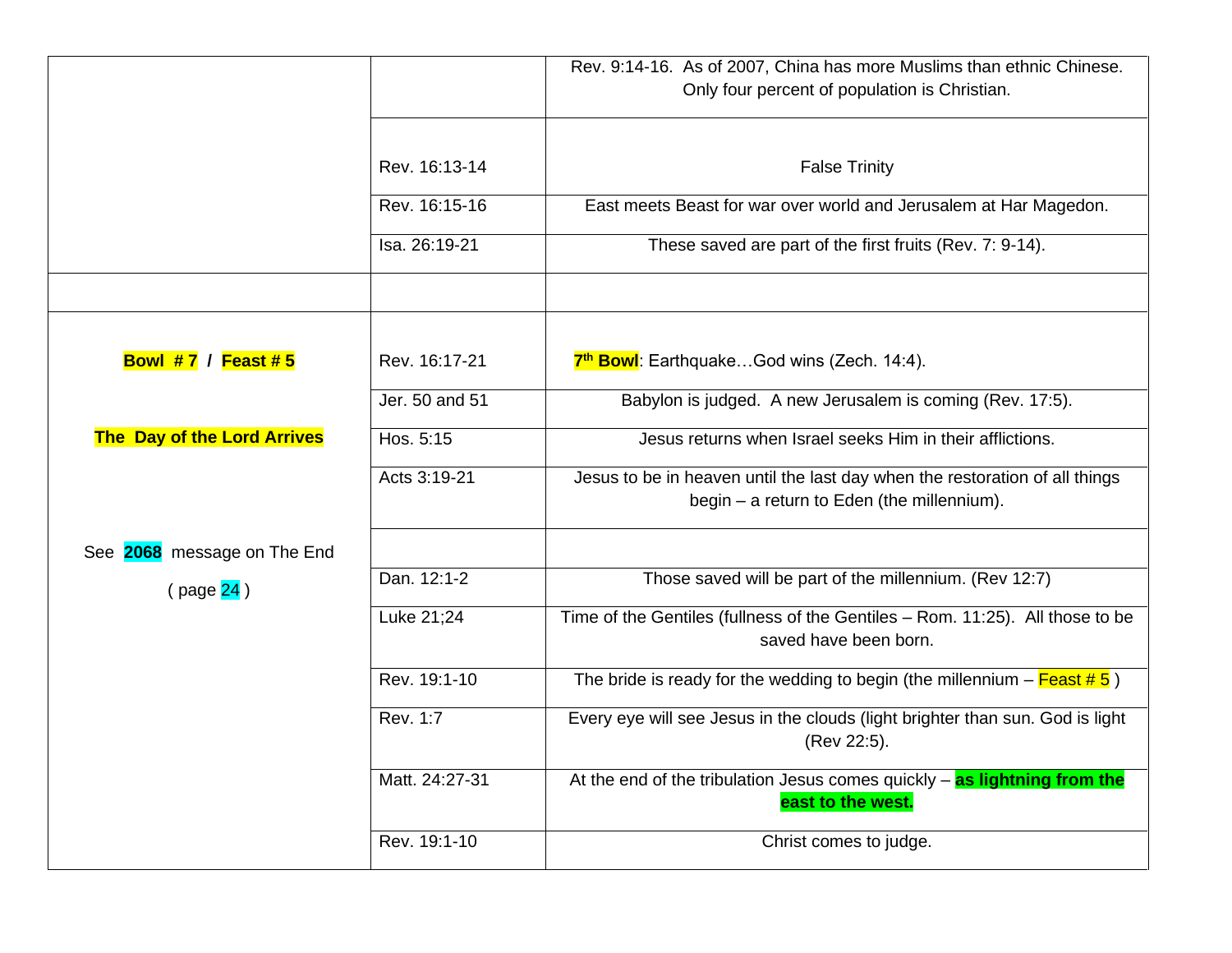|                                    |                | Rev. 9:14-16. As of 2007, China has more Muslims than ethnic Chinese.<br>Only four percent of population is Christian.    |
|------------------------------------|----------------|---------------------------------------------------------------------------------------------------------------------------|
|                                    |                |                                                                                                                           |
|                                    | Rev. 16:13-14  | <b>False Trinity</b>                                                                                                      |
|                                    | Rev. 16:15-16  | East meets Beast for war over world and Jerusalem at Har Magedon.                                                         |
|                                    | Isa. 26:19-21  | These saved are part of the first fruits (Rev. 7: 9-14).                                                                  |
|                                    |                |                                                                                                                           |
| <b>Bowl #7 / Feast #5</b>          | Rev. 16:17-21  | 7 <sup>th</sup> Bowl: EarthquakeGod wins (Zech. 14:4).                                                                    |
|                                    | Jer. 50 and 51 | Babylon is judged. A new Jerusalem is coming (Rev. 17:5).                                                                 |
| <b>The Day of the Lord Arrives</b> | Hos. 5:15      | Jesus returns when Israel seeks Him in their afflictions.                                                                 |
|                                    | Acts 3:19-21   | Jesus to be in heaven until the last day when the restoration of all things<br>begin - a return to Eden (the millennium). |
| See 2068 message on The End        |                |                                                                                                                           |
| (page 24)                          | Dan. 12:1-2    | Those saved will be part of the millennium. (Rev 12:7)                                                                    |
|                                    | Luke 21;24     | Time of the Gentiles (fullness of the Gentiles - Rom. 11:25). All those to be<br>saved have been born.                    |
|                                    | Rev. 19:1-10   | The bride is ready for the wedding to begin (the millennium $-\frac{F\acute{e}at\#5}{}$ )                                 |
|                                    | Rev. 1:7       | Every eye will see Jesus in the clouds (light brighter than sun. God is light<br>(Rev 22:5).                              |
|                                    | Matt. 24:27-31 | At the end of the tribulation Jesus comes quickly $-$ as lightning from the<br>east to the west.                          |
|                                    | Rev. 19:1-10   | Christ comes to judge.                                                                                                    |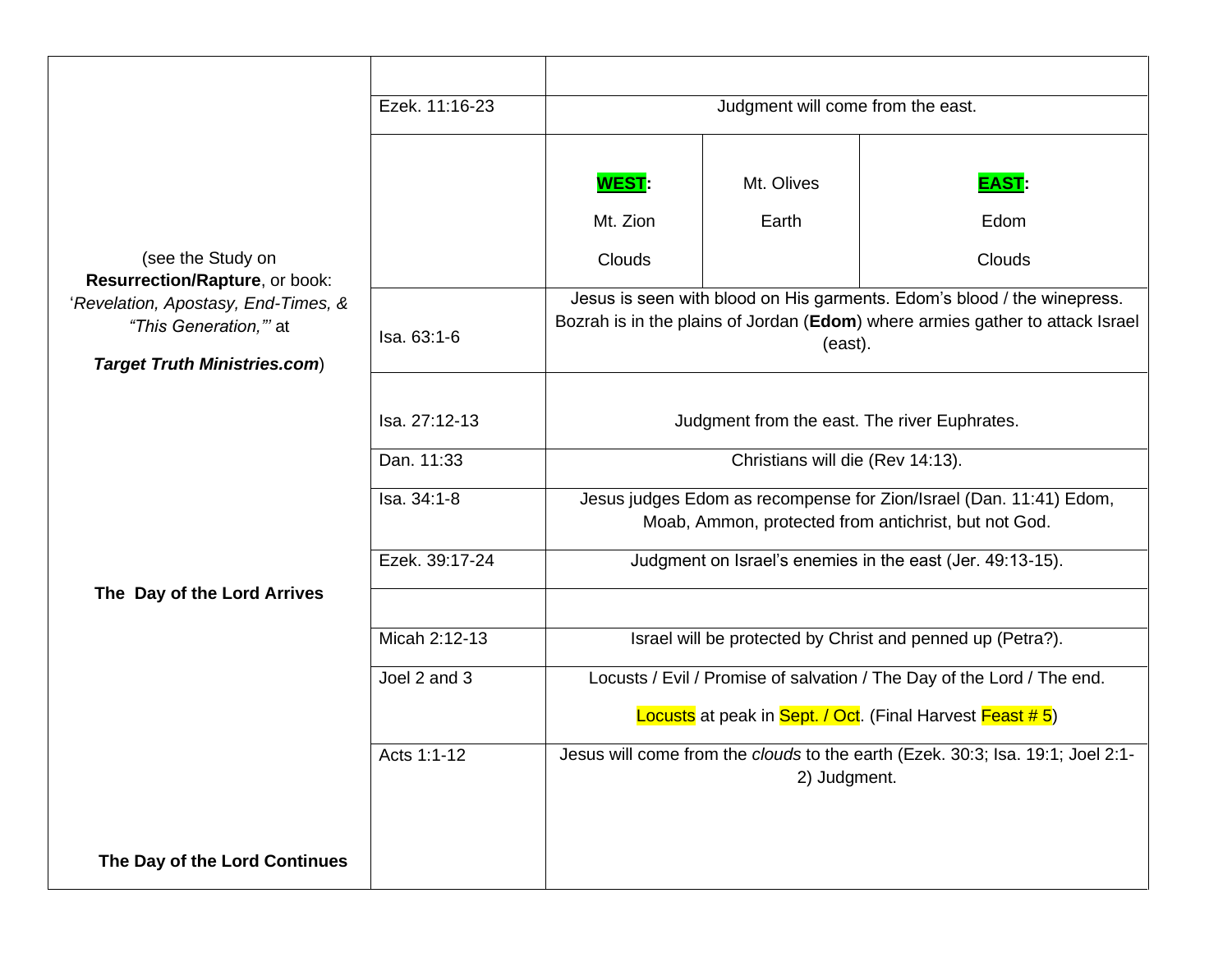|                                                                                                                                                            | Ezek. 11:16-23 | Judgment will come from the east.                                                                                                                                   |              |                                                                                |
|------------------------------------------------------------------------------------------------------------------------------------------------------------|----------------|---------------------------------------------------------------------------------------------------------------------------------------------------------------------|--------------|--------------------------------------------------------------------------------|
|                                                                                                                                                            |                |                                                                                                                                                                     |              |                                                                                |
|                                                                                                                                                            |                | <b>WEST</b>                                                                                                                                                         | Mt. Olives   | <b>EAST</b>                                                                    |
|                                                                                                                                                            |                | Mt. Zion                                                                                                                                                            | Earth        | Edom                                                                           |
| (see the Study on<br>Resurrection/Rapture, or book:<br>'Revelation, Apostasy, End-Times, &<br>"This Generation," at<br><b>Target Truth Ministries.com)</b> |                | <b>Clouds</b>                                                                                                                                                       |              | Clouds                                                                         |
|                                                                                                                                                            | Isa, 63:1-6    | Jesus is seen with blood on His garments. Edom's blood / the winepress.<br>Bozrah is in the plains of Jordan (Edom) where armies gather to attack Israel<br>(east). |              |                                                                                |
|                                                                                                                                                            |                |                                                                                                                                                                     |              |                                                                                |
|                                                                                                                                                            | Isa. 27:12-13  | Judgment from the east. The river Euphrates.                                                                                                                        |              |                                                                                |
|                                                                                                                                                            | Dan. 11:33     | Christians will die (Rev 14:13).                                                                                                                                    |              |                                                                                |
|                                                                                                                                                            | Isa. 34:1-8    | Jesus judges Edom as recompense for Zion/Israel (Dan. 11:41) Edom,<br>Moab, Ammon, protected from antichrist, but not God.                                          |              |                                                                                |
|                                                                                                                                                            | Ezek. 39:17-24 |                                                                                                                                                                     |              | Judgment on Israel's enemies in the east (Jer. 49:13-15).                      |
| The Day of the Lord Arrives                                                                                                                                |                |                                                                                                                                                                     |              |                                                                                |
|                                                                                                                                                            | Micah 2:12-13  |                                                                                                                                                                     |              | Israel will be protected by Christ and penned up (Petra?).                     |
|                                                                                                                                                            | Joel 2 and 3   | Locusts / Evil / Promise of salvation / The Day of the Lord / The end.                                                                                              |              |                                                                                |
|                                                                                                                                                            |                | Locusts at peak in Sept. / Oct. (Final Harvest Feast # 5)                                                                                                           |              |                                                                                |
|                                                                                                                                                            | Acts 1:1-12    |                                                                                                                                                                     | 2) Judgment. | Jesus will come from the clouds to the earth (Ezek. 30:3; Isa. 19:1; Joel 2:1- |
|                                                                                                                                                            |                |                                                                                                                                                                     |              |                                                                                |
| The Day of the Lord Continues                                                                                                                              |                |                                                                                                                                                                     |              |                                                                                |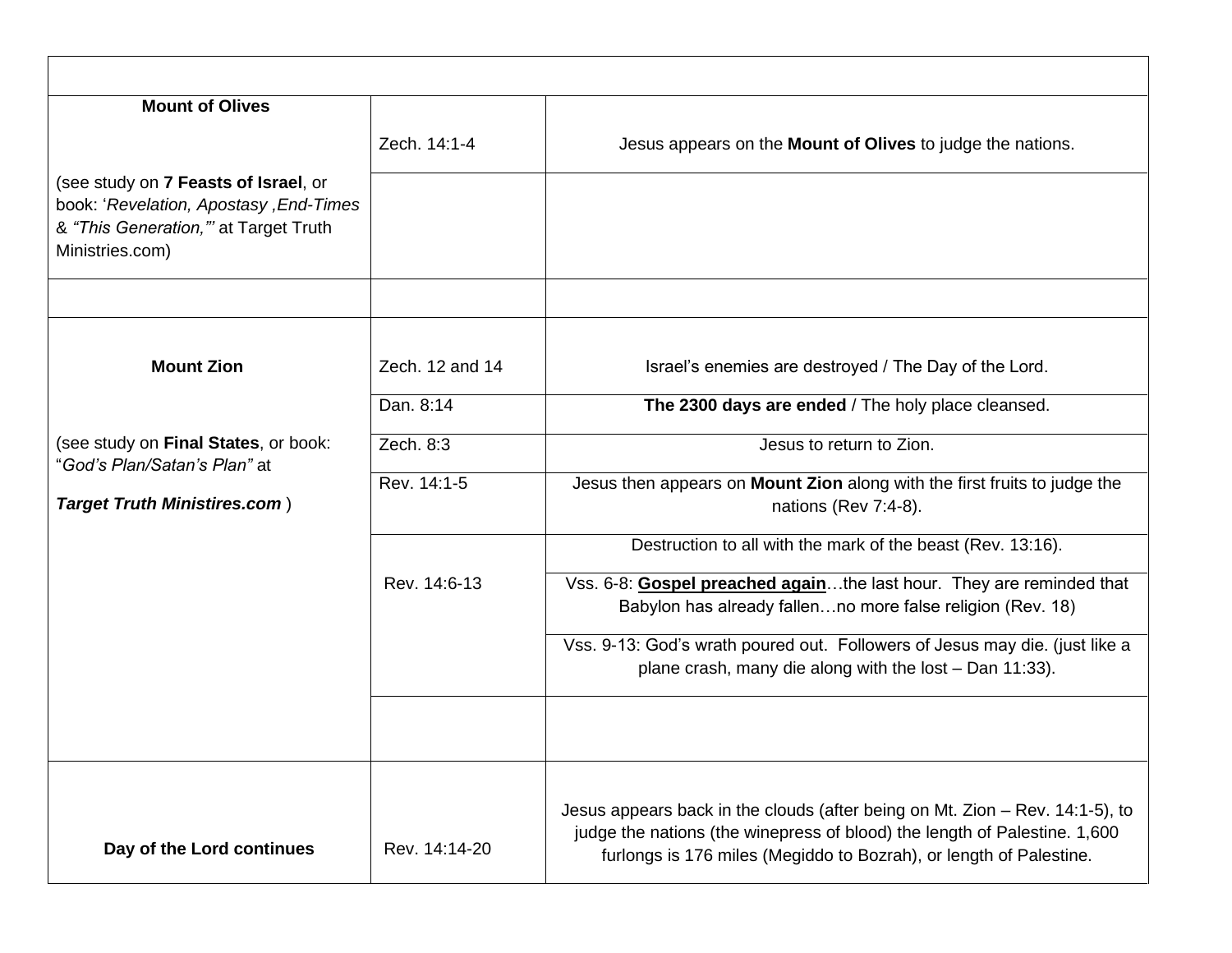| <b>Mount of Olives</b>                                                                                                                    |                 |                                                                                                                                                           |
|-------------------------------------------------------------------------------------------------------------------------------------------|-----------------|-----------------------------------------------------------------------------------------------------------------------------------------------------------|
|                                                                                                                                           | Zech. 14:1-4    | Jesus appears on the Mount of Olives to judge the nations.                                                                                                |
| (see study on 7 Feasts of Israel, or<br>book: 'Revelation, Apostasy, End-Times<br>& "This Generation," at Target Truth<br>Ministries.com) |                 |                                                                                                                                                           |
|                                                                                                                                           |                 |                                                                                                                                                           |
| <b>Mount Zion</b>                                                                                                                         | Zech. 12 and 14 | Israel's enemies are destroyed / The Day of the Lord.                                                                                                     |
|                                                                                                                                           | Dan. 8:14       | The 2300 days are ended / The holy place cleansed.                                                                                                        |
| (see study on Final States, or book:<br>"God's Plan/Satan's Plan" at                                                                      | Zech. 8:3       | Jesus to return to Zion.                                                                                                                                  |
| <b>Target Truth Ministires.com)</b>                                                                                                       | Rev. 14:1-5     | Jesus then appears on Mount Zion along with the first fruits to judge the<br>nations (Rev 7:4-8).                                                         |
|                                                                                                                                           |                 | Destruction to all with the mark of the beast (Rev. 13:16).                                                                                               |
|                                                                                                                                           | Rev. 14:6-13    | Vss. 6-8: Gospel preached againthe last hour. They are reminded that<br>Babylon has already fallenno more false religion (Rev. 18)                        |
|                                                                                                                                           |                 | Vss. 9-13: God's wrath poured out. Followers of Jesus may die. (just like a<br>plane crash, many die along with the lost - Dan 11:33).                    |
|                                                                                                                                           |                 |                                                                                                                                                           |
| Day of the Lord continues                                                                                                                 | Rev. 14:14-20   | Jesus appears back in the clouds (after being on Mt. Zion – Rev. 14:1-5), to<br>judge the nations (the winepress of blood) the length of Palestine. 1,600 |
|                                                                                                                                           |                 | furlongs is 176 miles (Megiddo to Bozrah), or length of Palestine.                                                                                        |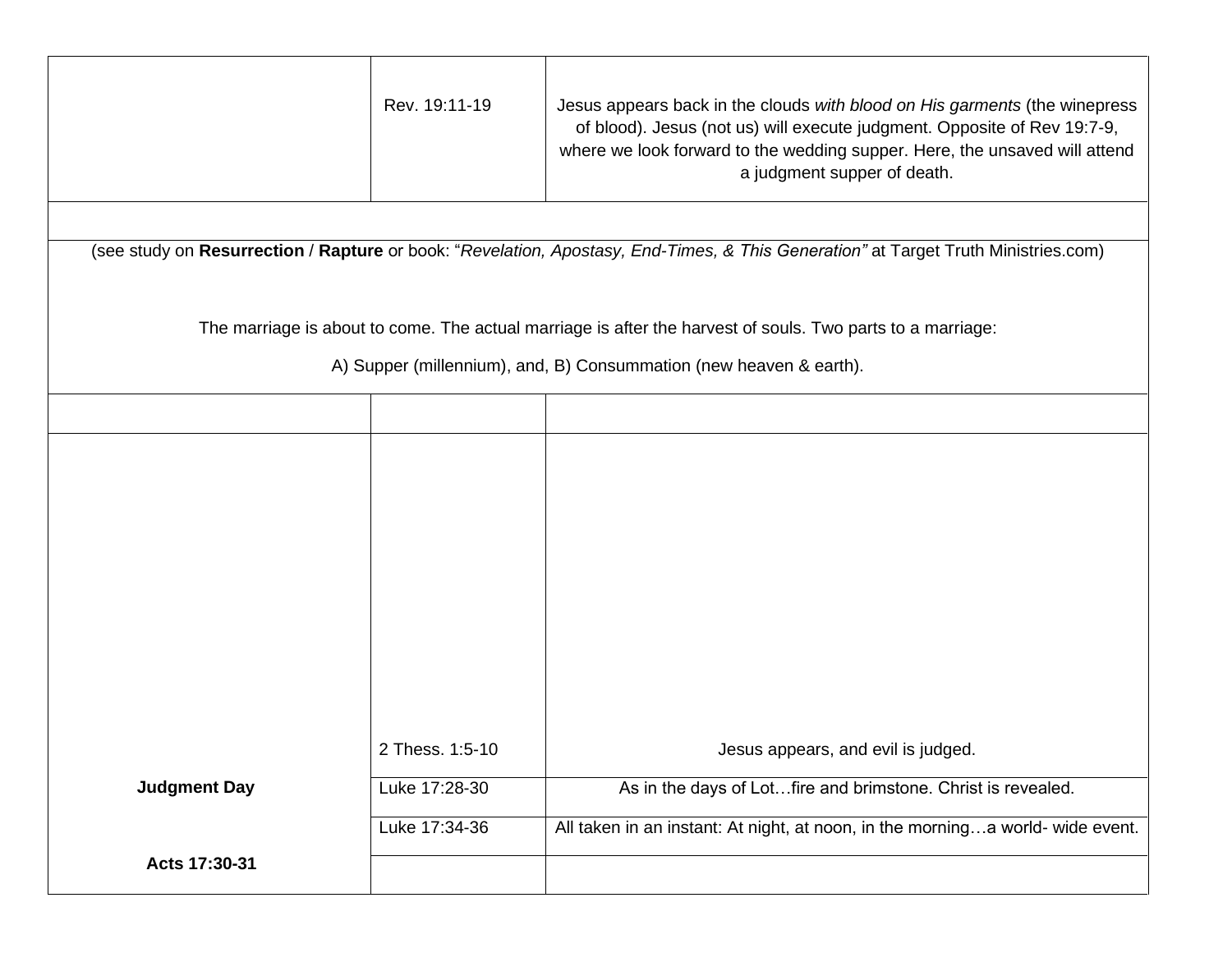|                                                                                                            | Rev. 19:11-19                                                                                                                      | Jesus appears back in the clouds with blood on His garments (the winepress<br>of blood). Jesus (not us) will execute judgment. Opposite of Rev 19:7-9,<br>where we look forward to the wedding supper. Here, the unsaved will attend<br>a judgment supper of death. |  |
|------------------------------------------------------------------------------------------------------------|------------------------------------------------------------------------------------------------------------------------------------|---------------------------------------------------------------------------------------------------------------------------------------------------------------------------------------------------------------------------------------------------------------------|--|
|                                                                                                            |                                                                                                                                    |                                                                                                                                                                                                                                                                     |  |
|                                                                                                            | (see study on Resurrection / Rapture or book: "Revelation, Apostasy, End-Times, & This Generation" at Target Truth Ministries.com) |                                                                                                                                                                                                                                                                     |  |
| The marriage is about to come. The actual marriage is after the harvest of souls. Two parts to a marriage: |                                                                                                                                    |                                                                                                                                                                                                                                                                     |  |
|                                                                                                            |                                                                                                                                    | A) Supper (millennium), and, B) Consummation (new heaven & earth).                                                                                                                                                                                                  |  |
|                                                                                                            |                                                                                                                                    |                                                                                                                                                                                                                                                                     |  |
|                                                                                                            |                                                                                                                                    |                                                                                                                                                                                                                                                                     |  |
|                                                                                                            |                                                                                                                                    |                                                                                                                                                                                                                                                                     |  |
|                                                                                                            |                                                                                                                                    |                                                                                                                                                                                                                                                                     |  |
|                                                                                                            |                                                                                                                                    |                                                                                                                                                                                                                                                                     |  |
|                                                                                                            |                                                                                                                                    |                                                                                                                                                                                                                                                                     |  |
|                                                                                                            | 2 Thess. 1:5-10                                                                                                                    | Jesus appears, and evil is judged.                                                                                                                                                                                                                                  |  |
| <b>Judgment Day</b>                                                                                        | Luke 17:28-30                                                                                                                      | As in the days of Lotfire and brimstone. Christ is revealed.                                                                                                                                                                                                        |  |
|                                                                                                            | Luke 17:34-36                                                                                                                      | All taken in an instant: At night, at noon, in the morninga world-wide event.                                                                                                                                                                                       |  |
| Acts 17:30-31                                                                                              |                                                                                                                                    |                                                                                                                                                                                                                                                                     |  |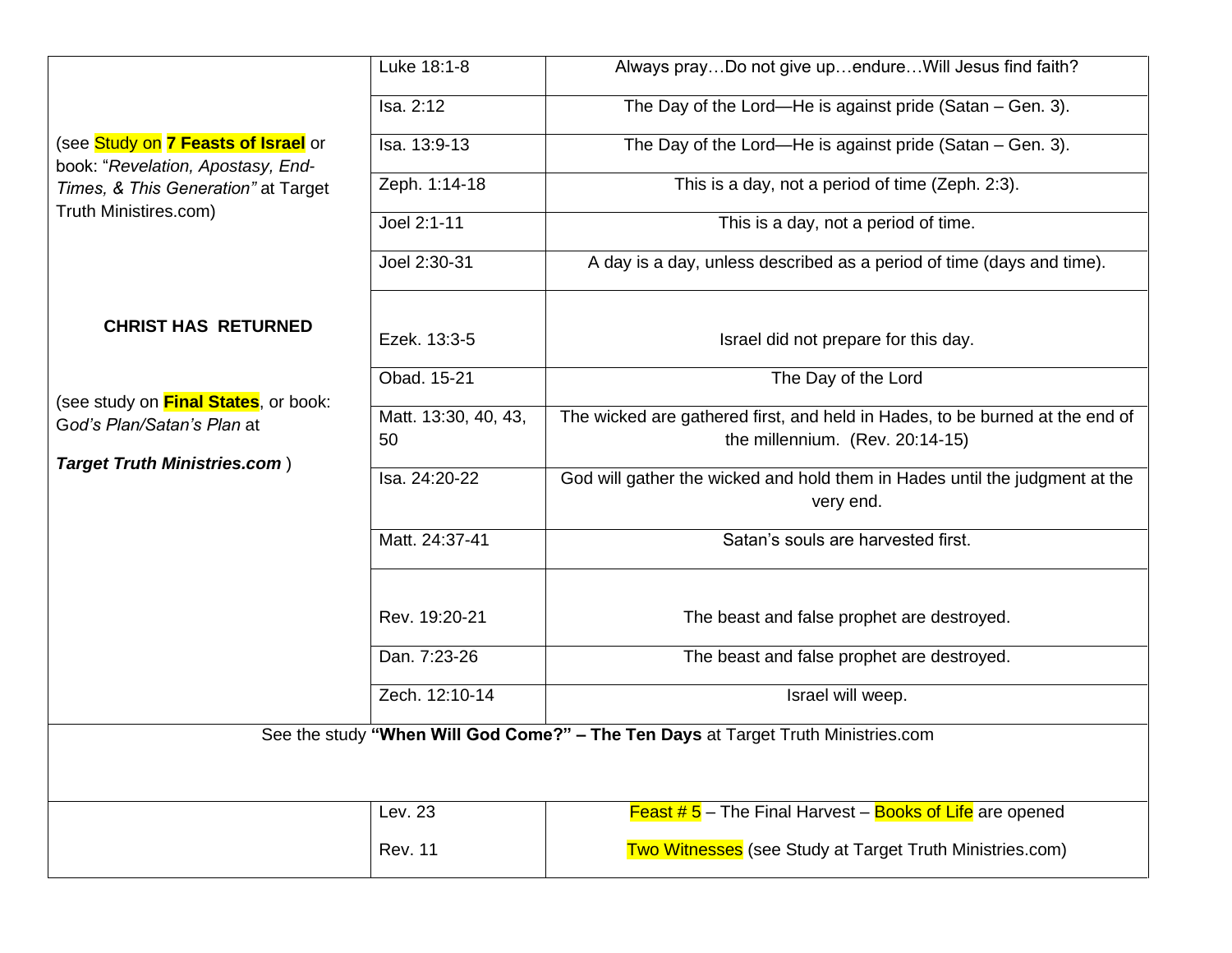|                                                                            | Luke 18:1-8                | Always prayDo not give upendureWill Jesus find faith?                                                           |  |
|----------------------------------------------------------------------------|----------------------------|-----------------------------------------------------------------------------------------------------------------|--|
|                                                                            | Isa. 2:12                  | The Day of the Lord-He is against pride (Satan - Gen. 3).                                                       |  |
| (see Study on 7 Feasts of Israel or<br>book: "Revelation, Apostasy, End-   | Isa. 13:9-13               | The Day of the Lord—He is against pride (Satan – Gen. 3).                                                       |  |
| Times, & This Generation" at Target<br>Truth Ministires.com)               | Zeph. 1:14-18              | This is a day, not a period of time (Zeph. 2:3).                                                                |  |
|                                                                            | Joel 2:1-11                | This is a day, not a period of time.                                                                            |  |
|                                                                            | Joel 2:30-31               | A day is a day, unless described as a period of time (days and time).                                           |  |
| <b>CHRIST HAS RETURNED</b>                                                 |                            |                                                                                                                 |  |
|                                                                            | Ezek. 13:3-5               | Israel did not prepare for this day.                                                                            |  |
|                                                                            | Obad. 15-21                | The Day of the Lord                                                                                             |  |
| (see study on <b>Final States</b> , or book:<br>God's Plan/Satan's Plan at | Matt. 13:30, 40, 43,<br>50 | The wicked are gathered first, and held in Hades, to be burned at the end of<br>the millennium. (Rev. 20:14-15) |  |
| <b>Target Truth Ministries.com)</b>                                        | Isa. 24:20-22              | God will gather the wicked and hold them in Hades until the judgment at the                                     |  |
|                                                                            |                            | very end.                                                                                                       |  |
|                                                                            | Matt. 24:37-41             | Satan's souls are harvested first.                                                                              |  |
|                                                                            |                            |                                                                                                                 |  |
|                                                                            | Rev. 19:20-21              | The beast and false prophet are destroyed.                                                                      |  |
|                                                                            | Dan. 7:23-26               | The beast and false prophet are destroyed.                                                                      |  |
|                                                                            | Zech. 12:10-14             | Israel will weep.                                                                                               |  |
|                                                                            |                            | See the study "When Will God Come?" - The Ten Days at Target Truth Ministries.com                               |  |
|                                                                            |                            |                                                                                                                 |  |
|                                                                            | Lev. 23                    | <b>Feast #5</b> – The Final Harvest – <b>Books of Life</b> are opened                                           |  |
|                                                                            | <b>Rev. 11</b>             | Two Witnesses (see Study at Target Truth Ministries.com)                                                        |  |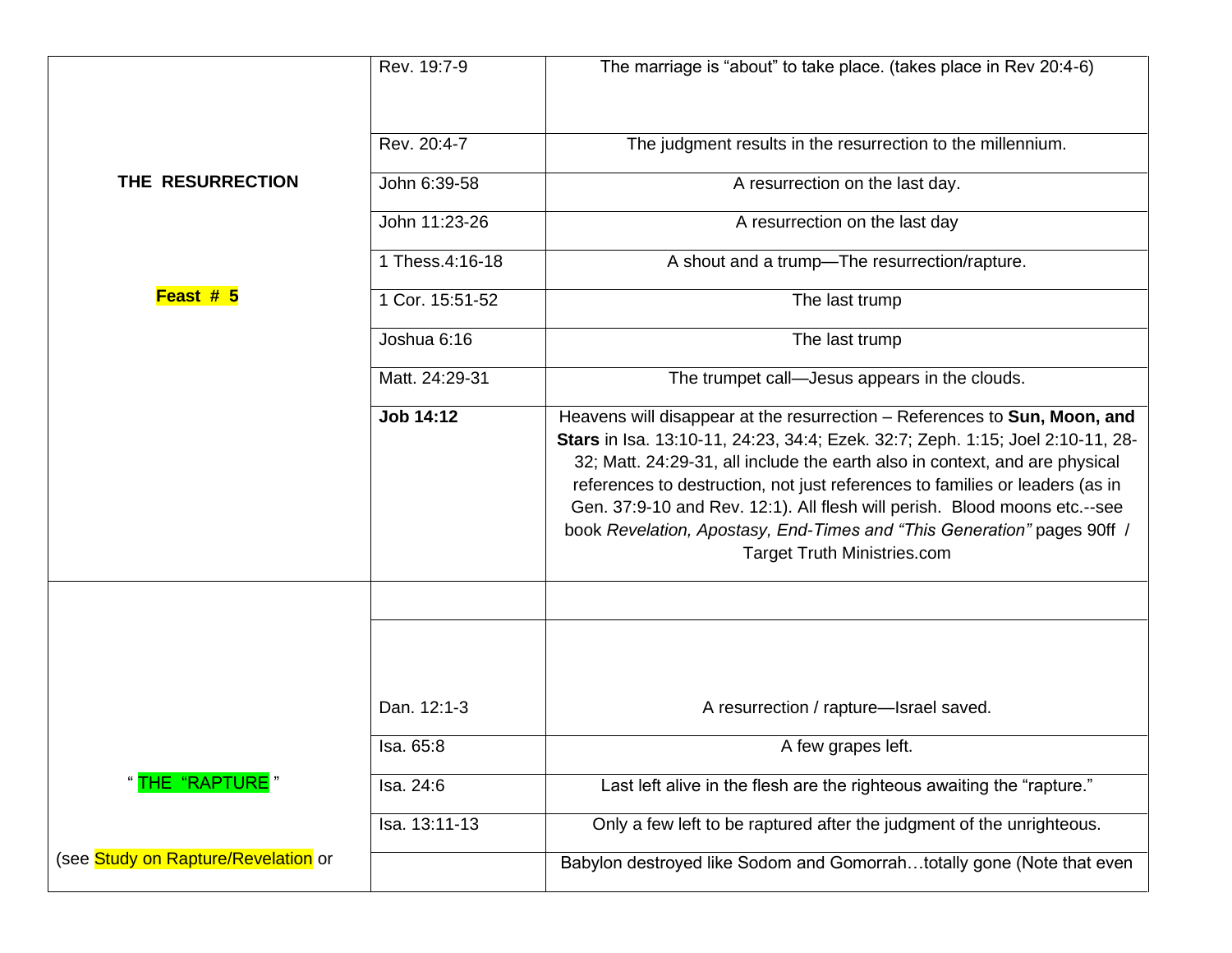|                                     | Rev. 19:7-9     | The marriage is "about" to take place. (takes place in Rev 20:4-6)                                                                                                                                                                                                                                                                                                                                                                                                                                                       |
|-------------------------------------|-----------------|--------------------------------------------------------------------------------------------------------------------------------------------------------------------------------------------------------------------------------------------------------------------------------------------------------------------------------------------------------------------------------------------------------------------------------------------------------------------------------------------------------------------------|
|                                     | Rev. 20:4-7     | The judgment results in the resurrection to the millennium.                                                                                                                                                                                                                                                                                                                                                                                                                                                              |
| THE RESURRECTION                    | John 6:39-58    | A resurrection on the last day.                                                                                                                                                                                                                                                                                                                                                                                                                                                                                          |
|                                     | John 11:23-26   | A resurrection on the last day                                                                                                                                                                                                                                                                                                                                                                                                                                                                                           |
|                                     | 1 Thess.4:16-18 | A shout and a trump-The resurrection/rapture.                                                                                                                                                                                                                                                                                                                                                                                                                                                                            |
| Feast # 5                           | 1 Cor. 15:51-52 | The last trump                                                                                                                                                                                                                                                                                                                                                                                                                                                                                                           |
|                                     | Joshua 6:16     | The last trump                                                                                                                                                                                                                                                                                                                                                                                                                                                                                                           |
|                                     | Matt. 24:29-31  | The trumpet call-Jesus appears in the clouds.                                                                                                                                                                                                                                                                                                                                                                                                                                                                            |
|                                     | Job 14:12       | Heavens will disappear at the resurrection - References to Sun, Moon, and<br>Stars in Isa. 13:10-11, 24:23, 34:4; Ezek. 32:7; Zeph. 1:15; Joel 2:10-11, 28-<br>32; Matt. 24:29-31, all include the earth also in context, and are physical<br>references to destruction, not just references to families or leaders (as in<br>Gen. 37:9-10 and Rev. 12:1). All flesh will perish. Blood moons etc.--see<br>book Revelation, Apostasy, End-Times and "This Generation" pages 90ff /<br><b>Target Truth Ministries.com</b> |
|                                     |                 |                                                                                                                                                                                                                                                                                                                                                                                                                                                                                                                          |
|                                     | Dan. 12:1-3     | A resurrection / rapture-Israel saved.                                                                                                                                                                                                                                                                                                                                                                                                                                                                                   |
|                                     | Isa. 65:8       | A few grapes left.                                                                                                                                                                                                                                                                                                                                                                                                                                                                                                       |
| " <mark>THE "RAPTURE</mark> "       | Isa. 24:6       | Last left alive in the flesh are the righteous awaiting the "rapture."                                                                                                                                                                                                                                                                                                                                                                                                                                                   |
|                                     | Isa. 13:11-13   | Only a few left to be raptured after the judgment of the unrighteous.                                                                                                                                                                                                                                                                                                                                                                                                                                                    |
| (see Study on Rapture/Revelation or |                 | Babylon destroyed like Sodom and Gomorrahtotally gone (Note that even                                                                                                                                                                                                                                                                                                                                                                                                                                                    |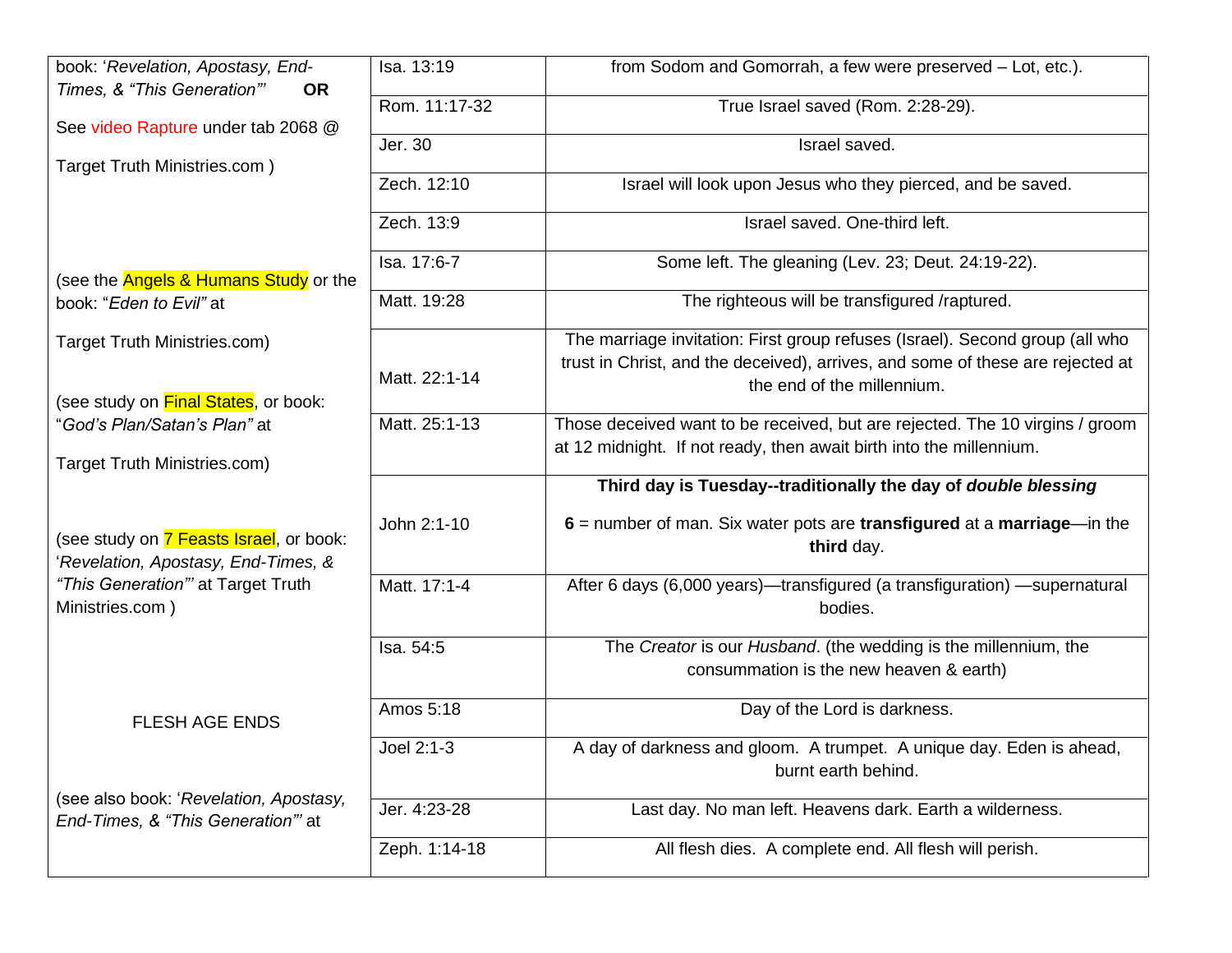| book: 'Revelation, Apostasy, End-                                             | Isa. 13:19    | from Sodom and Gomorrah, a few were preserved - Lot, etc.).                                 |
|-------------------------------------------------------------------------------|---------------|---------------------------------------------------------------------------------------------|
| Times, & "This Generation"'<br><b>OR</b>                                      | Rom. 11:17-32 | True Israel saved (Rom. 2:28-29).                                                           |
| See video Rapture under tab 2068 @                                            |               |                                                                                             |
|                                                                               | Jer. 30       | Israel saved.                                                                               |
| Target Truth Ministries.com)                                                  | Zech. 12:10   | Israel will look upon Jesus who they pierced, and be saved.                                 |
|                                                                               | Zech. 13:9    | Israel saved. One-third left.                                                               |
| (see the <b>Angels &amp; Humans Study</b> or the                              | Isa. 17:6-7   | Some left. The gleaning (Lev. 23; Deut. 24:19-22).                                          |
| book: "Eden to Evil" at                                                       | Matt. 19:28   | The righteous will be transfigured /raptured.                                               |
| Target Truth Ministries.com)                                                  |               | The marriage invitation: First group refuses (Israel). Second group (all who                |
|                                                                               | Matt. 22:1-14 | trust in Christ, and the deceived), arrives, and some of these are rejected at              |
| (see study on Final States, or book:                                          |               | the end of the millennium.                                                                  |
| "God's Plan/Satan's Plan" at                                                  | Matt. 25:1-13 | Those deceived want to be received, but are rejected. The 10 virgins / groom                |
| Target Truth Ministries.com)                                                  |               | at 12 midnight. If not ready, then await birth into the millennium.                         |
|                                                                               |               | Third day is Tuesday--traditionally the day of double blessing                              |
| (see study on 7 Feasts Israel, or book:<br>Revelation, Apostasy, End-Times, & | John 2:1-10   | $6$ = number of man. Six water pots are transfigured at a marriage—in the<br>third day.     |
| "This Generation" at Target Truth                                             | Matt. 17:1-4  | After 6 days (6,000 years)—transfigured (a transfiguration) —supernatural                   |
| Ministries.com)                                                               |               | bodies.                                                                                     |
|                                                                               | Isa. 54:5     | The Creator is our Husband. (the wedding is the millennium, the                             |
|                                                                               |               | consummation is the new heaven & earth)                                                     |
| <b>FLESH AGE ENDS</b>                                                         | Amos 5:18     | Day of the Lord is darkness.                                                                |
|                                                                               | Joel 2:1-3    | A day of darkness and gloom. A trumpet. A unique day. Eden is ahead,<br>burnt earth behind. |
| (see also book: 'Revelation, Apostasy,<br>End-Times, & "This Generation" at   | Jer. 4:23-28  | Last day. No man left. Heavens dark. Earth a wilderness.                                    |
|                                                                               | Zeph. 1:14-18 | All flesh dies. A complete end. All flesh will perish.                                      |